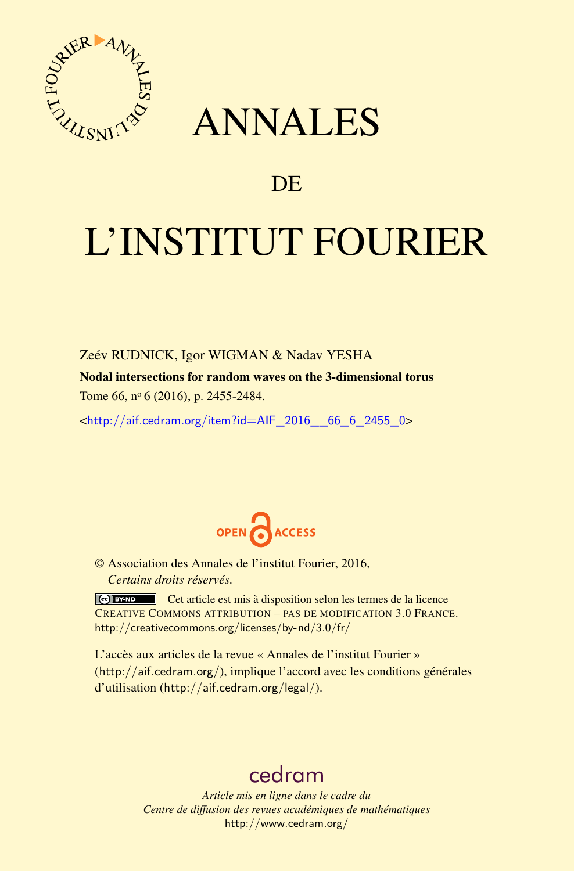

## ANNALES

### **DE**

# L'INSTITUT FOURIER

Zeév RUDNICK, Igor WIGMAN & Nadav YESHA

Nodal intersections for random waves on the 3-dimensional torus Tome 66, nº 6 (2016), p. 2455-2484.

 $\kappa$ http://aif.cedram.org/item?id=AIF 2016 66 6 2455 0>



© Association des Annales de l'institut Fourier, 2016, *Certains droits réservés.*

Cet article est mis à disposition selon les termes de la licence CREATIVE COMMONS ATTRIBUTION – PAS DE MODIFICATION 3.0 FRANCE. <http://creativecommons.org/licenses/by-nd/3.0/fr/>

L'accès aux articles de la revue « Annales de l'institut Fourier » (<http://aif.cedram.org/>), implique l'accord avec les conditions générales d'utilisation (<http://aif.cedram.org/legal/>).

## [cedram](http://www.cedram.org/)

*Article mis en ligne dans le cadre du Centre de diffusion des revues académiques de mathématiques* <http://www.cedram.org/>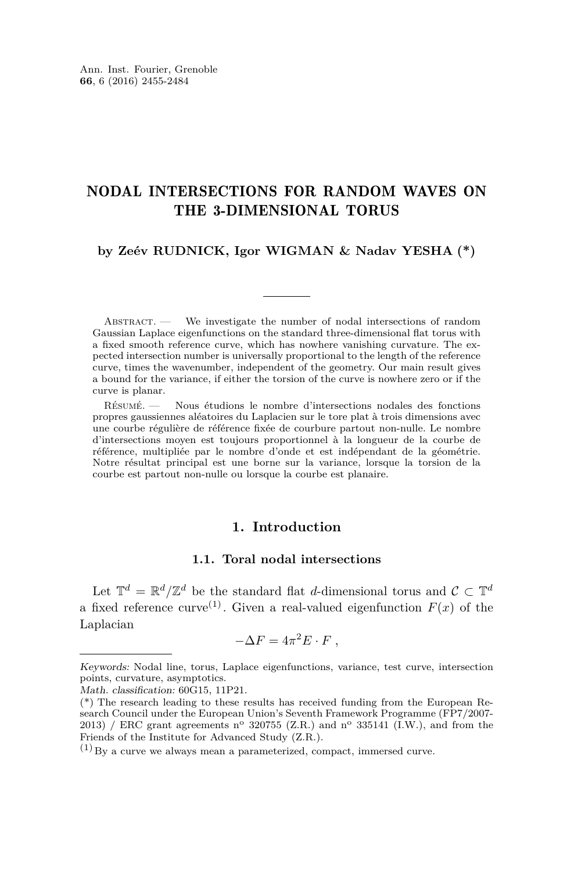#### NODAL INTERSECTIONS FOR RANDOM WAVES ON THE 3-DIMENSIONAL TORUS

#### **by Zeév RUDNICK, Igor WIGMAN & Nadav YESHA (\*)**

ABSTRACT. — We investigate the number of nodal intersections of random Gaussian Laplace eigenfunctions on the standard three-dimensional flat torus with a fixed smooth reference curve, which has nowhere vanishing curvature. The expected intersection number is universally proportional to the length of the reference curve, times the wavenumber, independent of the geometry. Our main result gives a bound for the variance, if either the torsion of the curve is nowhere zero or if the curve is planar.

Résumé. — Nous étudions le nombre d'intersections nodales des fonctions propres gaussiennes aléatoires du Laplacien sur le tore plat à trois dimensions avec une courbe régulière de référence fixée de courbure partout non-nulle. Le nombre d'intersections moyen est toujours proportionnel à la longueur de la courbe de référence, multipliée par le nombre d'onde et est indépendant de la géométrie. Notre résultat principal est une borne sur la variance, lorsque la torsion de la courbe est partout non-nulle ou lorsque la courbe est planaire.

#### **1. Introduction**

#### **1.1. Toral nodal intersections**

Let  $\mathbb{T}^d = \mathbb{R}^d / \mathbb{Z}^d$  be the standard flat *d*-dimensional torus and  $\mathcal{C} \subset \mathbb{T}^d$ a fixed reference curve<sup>(1)</sup>. Given a real-valued eigenfunction  $F(x)$  of the Laplacian

$$
-\Delta F = 4\pi^2 E \cdot F \; ,
$$

Keywords: Nodal line, torus, Laplace eigenfunctions, variance, test curve, intersection points, curvature, asymptotics.

Math. classification: 60G15, 11P21.

<sup>(\*)</sup> The research leading to these results has received funding from the European Research Council under the European Union's Seventh Framework Programme (FP7/2007- 2013) / ERC grant agreements n° 320755 (Z.R.) and n° 335141 (I.W.), and from the Friends of the Institute for Advanced Study (Z.R.).

 $(1)$  By a curve we always mean a parameterized, compact, immersed curve.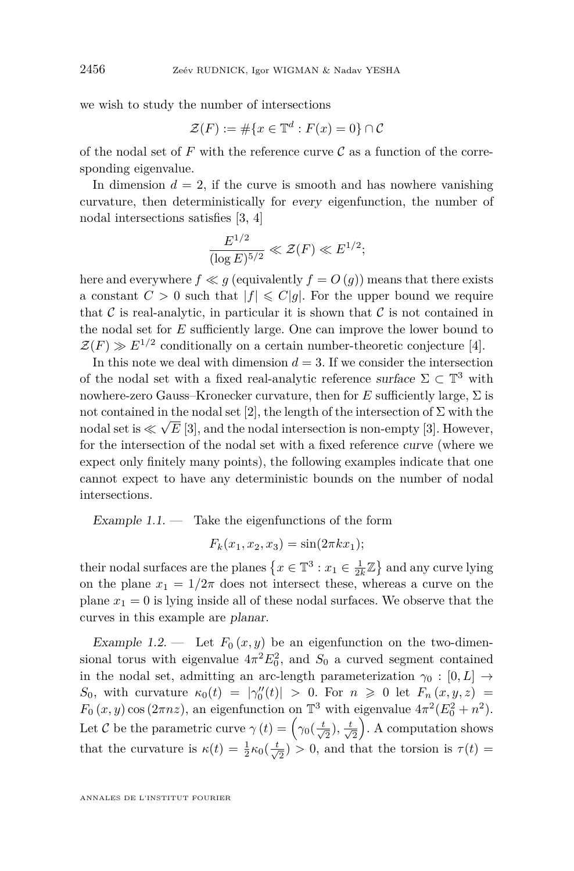we wish to study the number of intersections

$$
\mathcal{Z}(F) := \# \{ x \in \mathbb{T}^d : F(x) = 0 \} \cap \mathcal{C}
$$

of the nodal set of  $F$  with the reference curve  $\mathcal C$  as a function of the corresponding eigenvalue.

In dimension  $d = 2$ , if the curve is smooth and has nowhere vanishing curvature, then deterministically for every eigenfunction, the number of nodal intersections satisfies [\[3,](#page-29-0) [4\]](#page-29-1)

$$
\frac{E^{1/2}}{(\log E)^{5/2}} \ll \mathcal{Z}(F) \ll E^{1/2};
$$

here and everywhere  $f \ll g$  (equivalently  $f = O(g)$ ) means that there exists a constant  $C > 0$  such that  $|f| \leq C|g|$ . For the upper bound we require that  $\mathcal C$  is real-analytic, in particular it is shown that  $\mathcal C$  is not contained in the nodal set for *E* sufficiently large. One can improve the lower bound to  $\mathcal{Z}(F) \gg E^{1/2}$  conditionally on a certain number-theoretic conjecture [\[4\]](#page-29-1).

In this note we deal with dimension  $d = 3$ . If we consider the intersection of the nodal set with a fixed real-analytic reference surface  $\Sigma \subset \mathbb{T}^3$  with nowhere-zero Gauss–Kronecker curvature, then for  $E$  sufficiently large,  $\Sigma$  is not contained in the nodal set [\[2\]](#page-29-2), the length of the intersection of  $\Sigma$  with the nodal set is  $\ll \sqrt{E}$  [\[3\]](#page-29-0), and the nodal intersection is non-empty [3]. However, for the intersection of the nodal set with a fixed reference curve (where we expect only finitely many points), the following examples indicate that one cannot expect to have any deterministic bounds on the number of nodal intersections.

Example  $1.1.$  — Take the eigenfunctions of the form

 $F_k(x_1, x_2, x_3) = \sin(2\pi k x_1);$ 

their nodal surfaces are the planes  $\{x \in \mathbb{T}^3 : x_1 \in \frac{1}{2k}\mathbb{Z}\}$  and any curve lying on the plane  $x_1 = 1/2\pi$  does not intersect these, whereas a curve on the plane  $x_1 = 0$  is lying inside all of these nodal surfaces. We observe that the curves in this example are planar.

Example 1.2. — Let  $F_0(x, y)$  be an eigenfunction on the two-dimensional torus with eigenvalue  $4\pi^2 E_0^2$ , and  $S_0$  a curved segment contained in the nodal set, admitting an arc-length parameterization  $\gamma_0 : [0, L] \rightarrow$ *S*<sub>0</sub>, with curvature  $\kappa_0(t) = |\gamma''_0(t)| > 0$ . For  $n \ge 0$  let  $F_n(x, y, z) =$  $F_0(x, y) \cos(2\pi nz)$ , an eigenfunction on  $\mathbb{T}^3$  with eigenvalue  $4\pi^2(E_0^2 + n^2)$ . Let C be the parametric curve  $\gamma(t) = \left(\gamma_0(\frac{t}{\sqrt{2}}), \frac{t}{\sqrt{2}}\right)$ . A computation shows that the curvature is  $\kappa(t) = \frac{1}{2}\kappa_0(\frac{t}{\sqrt{2}}) > 0$ , and that the torsion is  $\tau(t) =$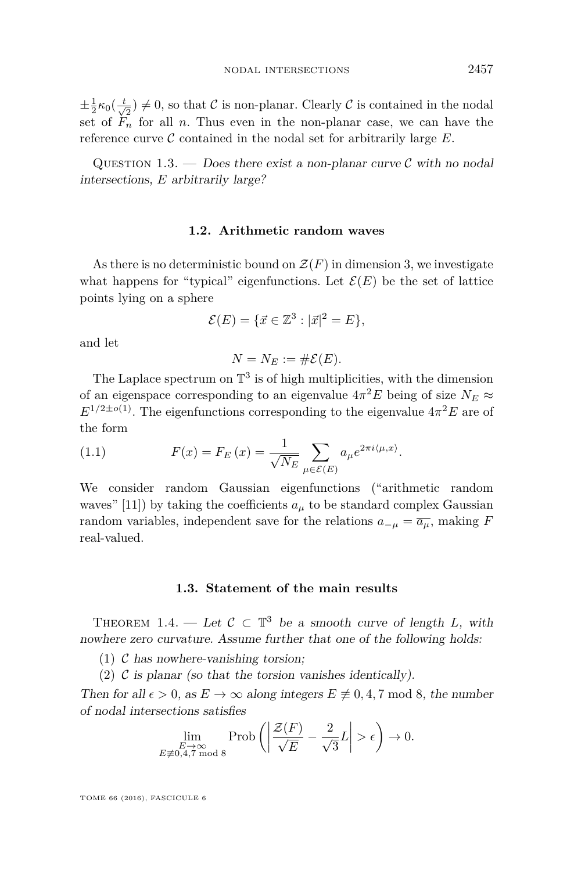$\pm \frac{1}{2} \kappa_0(\frac{t}{\sqrt{2}}) \neq 0$ , so that C is non-planar. Clearly C is contained in the nodal  $2^{200}(\sqrt{2})$ , see that  $\epsilon$  is the planar case, we can have the set of  $F_n$  for all *n*. Thus even in the non-planar case, we can have the reference curve  $\mathcal C$  contained in the nodal set for arbitrarily large  $E$ .

QUESTION 1.3. — Does there exist a non-planar curve  $\mathcal C$  with no nodal intersections, *E* arbitrarily large?

#### **1.2. Arithmetic random waves**

As there is no deterministic bound on  $\mathcal{Z}(F)$  in dimension 3, we investigate what happens for "typical" eigenfunctions. Let  $\mathcal{E}(E)$  be the set of lattice points lying on a sphere

$$
\mathcal{E}(E) = \{ \vec{x} \in \mathbb{Z}^3 : |\vec{x}|^2 = E \},
$$

and let

$$
N=N_E:=\#\mathcal{E}(E).
$$

The Laplace spectrum on  $\mathbb{T}^3$  is of high multiplicities, with the dimension of an eigenspace corresponding to an eigenvalue  $4\pi^2 E$  being of size  $N_E \approx$  $E^{1/2\pm o(1)}$ . The eigenfunctions corresponding to the eigenvalue  $4\pi^2 E$  are of the form

<span id="page-3-1"></span>(1.1) 
$$
F(x) = F_E(x) = \frac{1}{\sqrt{N_E}} \sum_{\mu \in \mathcal{E}(E)} a_{\mu} e^{2\pi i \langle \mu, x \rangle}.
$$

We consider random Gaussian eigenfunctions ("arithmetic random waves" [\[11\]](#page-30-0)) by taking the coefficients  $a<sub>\mu</sub>$  to be standard complex Gaussian random variables, independent save for the relations  $a_{-\mu} = \overline{a_{\mu}}$ , making *F* real-valued.

#### **1.3. Statement of the main results**

<span id="page-3-0"></span>THEOREM 1.4. — Let  $\mathcal{C} \subset \mathbb{T}^3$  be a smooth curve of length L, with nowhere zero curvature. Assume further that one of the following holds:

(1)  $\mathcal C$  has nowhere-vanishing torsion;

(2)  $\mathcal C$  is planar (so that the torsion vanishes identically).

Then for all  $\epsilon > 0$ , as  $E \to \infty$  along integers  $E \not\equiv 0, 4, 7 \mod 8$ , the number of nodal intersections satisfies

$$
\lim_{\substack{E \to \infty \\ E \neq 0,4,7 \text{ mod } 8}} \operatorname{Prob}\left(\left|\frac{\mathcal{Z}(F)}{\sqrt{E}} - \frac{2}{\sqrt{3}}L\right| > \epsilon\right) \to 0.
$$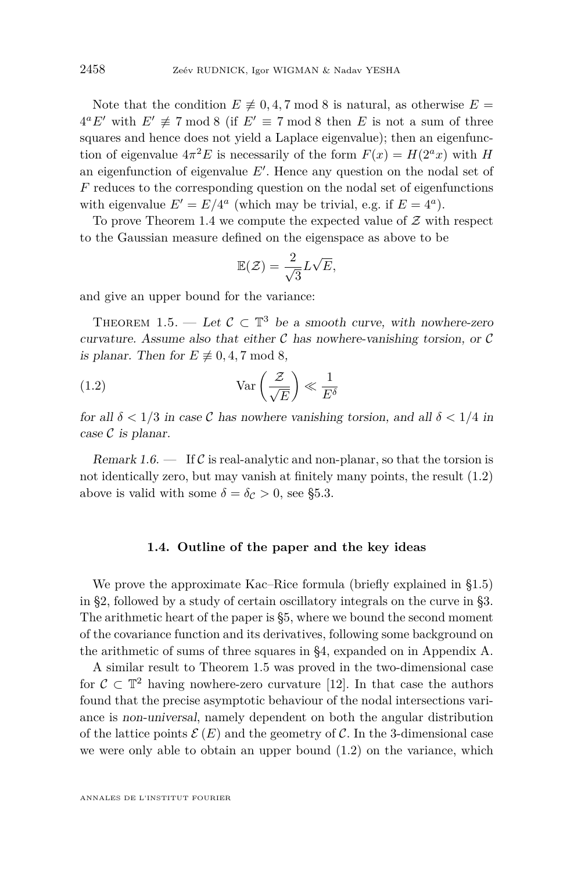Note that the condition  $E \not\equiv 0, 4, 7 \mod 8$  is natural, as otherwise  $E =$  $4^a E'$  with  $E' \not\equiv 7 \mod 8$  (if  $E' \equiv 7 \mod 8$  then *E* is not a sum of three squares and hence does not yield a Laplace eigenvalue); then an eigenfunction of eigenvalue  $4\pi^2 E$  is necessarily of the form  $F(x) = H(2^a x)$  with *H* an eigenfunction of eigenvalue  $E'$ . Hence any question on the nodal set of *F* reduces to the corresponding question on the nodal set of eigenfunctions with eigenvalue  $E' = E/4^a$  (which may be trivial, e.g. if  $E = 4^a$ ).

To prove Theorem [1.4](#page-3-0) we compute the expected value of  $\mathcal Z$  with respect to the Gaussian measure defined on the eigenspace as above to be

<span id="page-4-0"></span>
$$
\mathbb{E}(\mathcal{Z}) = \frac{2}{\sqrt{3}}L\sqrt{E},
$$

and give an upper bound for the variance:

<span id="page-4-1"></span>THEOREM 1.5. — Let  $\mathcal{C} \subset \mathbb{T}^3$  be a smooth curve, with nowhere-zero curvature. Assume also that either  $\mathcal C$  has nowhere-vanishing torsion, or  $\mathcal C$ is planar. Then for  $E \not\equiv 0, 4, 7 \mod 8$ ,

(1.2) 
$$
\operatorname{Var}\left(\frac{\mathcal{Z}}{\sqrt{E}}\right) \ll \frac{1}{E^{\delta}}
$$

for all  $\delta$  < 1/3 in case C has nowhere vanishing torsion, and all  $\delta$  < 1/4 in case  $\mathcal C$  is planar.

<span id="page-4-2"></span>Remark 1.6.  $\blacksquare$  If C is real-analytic and non-planar, so that the torsion is not identically zero, but may vanish at finitely many points, the result [\(1.2\)](#page-4-0) above is valid with some  $\delta = \delta_c > 0$ , see [§5.3.](#page-28-0)

#### **1.4. Outline of the paper and the key ideas**

We prove the approximate Kac–Rice formula (briefly explained in [§1.5\)](#page-5-0) in [§2,](#page-6-0) followed by a study of certain oscillatory integrals on the curve in [§3.](#page-16-0) The arithmetic heart of the paper is [§5,](#page-21-0) where we bound the second moment of the covariance function and its derivatives, following some background on the arithmetic of sums of three squares in [§4,](#page-20-0) expanded on in Appendix [A.](#page-28-1)

A similar result to Theorem [1.5](#page-4-1) was proved in the two-dimensional case for  $\mathcal{C} \subset \mathbb{T}^2$  having nowhere-zero curvature [\[12\]](#page-30-1). In that case the authors found that the precise asymptotic behaviour of the nodal intersections variance is non-universal, namely dependent on both the angular distribution of the lattice points  $\mathcal{E}(E)$  and the geometry of C. In the 3-dimensional case we were only able to obtain an upper bound [\(1.2\)](#page-4-0) on the variance, which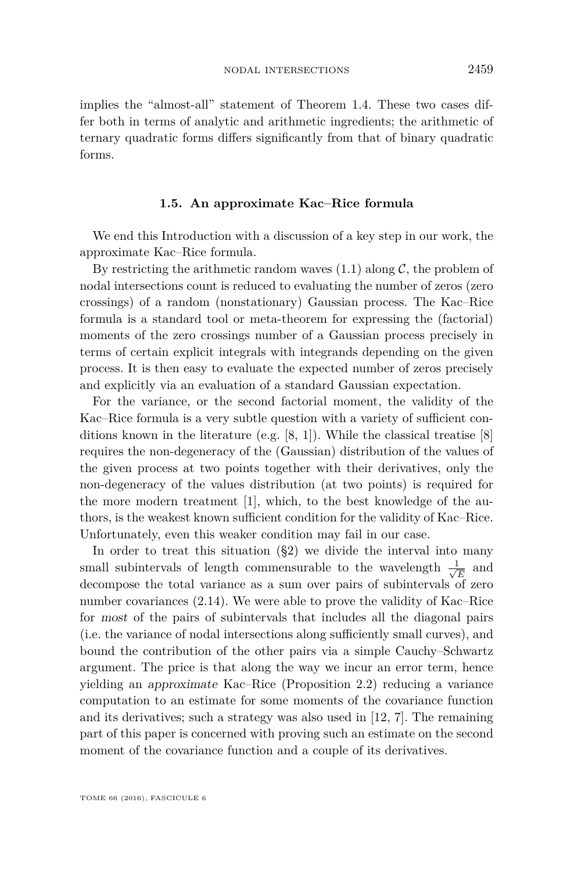implies the "almost-all" statement of Theorem [1.4.](#page-3-0) These two cases differ both in terms of analytic and arithmetic ingredients; the arithmetic of ternary quadratic forms differs significantly from that of binary quadratic forms.

#### **1.5. An approximate Kac–Rice formula**

<span id="page-5-0"></span>We end this Introduction with a discussion of a key step in our work, the approximate Kac–Rice formula.

By restricting the arithmetic random waves  $(1.1)$  along C, the problem of nodal intersections count is reduced to evaluating the number of zeros (zero crossings) of a random (nonstationary) Gaussian process. The Kac–Rice formula is a standard tool or meta-theorem for expressing the (factorial) moments of the zero crossings number of a Gaussian process precisely in terms of certain explicit integrals with integrands depending on the given process. It is then easy to evaluate the expected number of zeros precisely and explicitly via an evaluation of a standard Gaussian expectation.

For the variance, or the second factorial moment, the validity of the Kac–Rice formula is a very subtle question with a variety of sufficient conditions known in the literature (e.g. [\[8,](#page-29-3) [1\]](#page-29-4)). While the classical treatise [\[8\]](#page-29-3) requires the non-degeneracy of the (Gaussian) distribution of the values of the given process at two points together with their derivatives, only the non-degeneracy of the values distribution (at two points) is required for the more modern treatment [\[1\]](#page-29-4), which, to the best knowledge of the authors, is the weakest known sufficient condition for the validity of Kac–Rice. Unfortunately, even this weaker condition may fail in our case.

In order to treat this situation ([§2\)](#page-6-0) we divide the interval into many small subintervals of length commensurable to the wavelength  $\frac{1}{\sqrt{2}}$  $\frac{L}{\overline{E}}$  and decompose the total variance as a sum over pairs of subintervals of zero number covariances [\(2.14\)](#page-11-0). We were able to prove the validity of Kac–Rice for most of the pairs of subintervals that includes all the diagonal pairs (i.e. the variance of nodal intersections along sufficiently small curves), and bound the contribution of the other pairs via a simple Cauchy–Schwartz argument. The price is that along the way we incur an error term, hence yielding an approximate Kac–Rice (Proposition [2.2\)](#page-8-0) reducing a variance computation to an estimate for some moments of the covariance function and its derivatives; such a strategy was also used in [\[12,](#page-30-1) [7\]](#page-29-5). The remaining part of this paper is concerned with proving such an estimate on the second moment of the covariance function and a couple of its derivatives.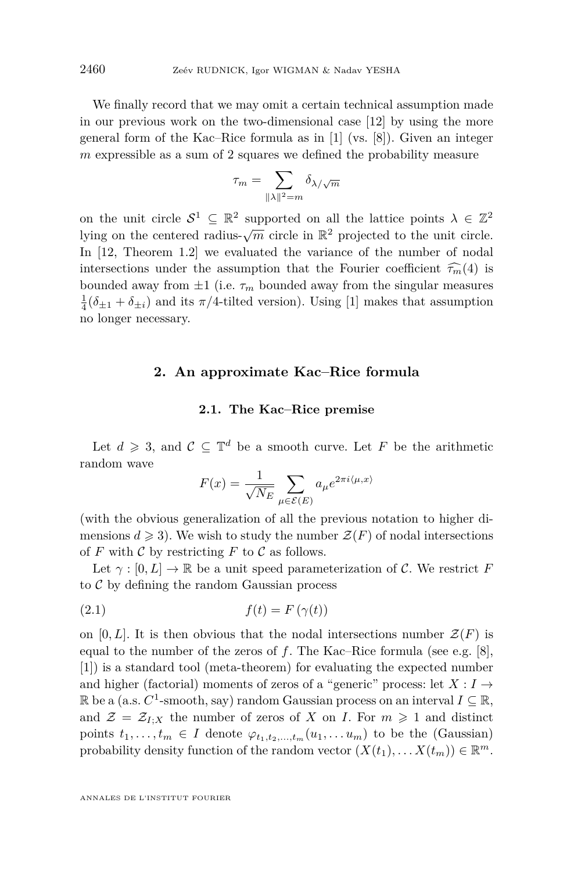We finally record that we may omit a certain technical assumption made in our previous work on the two-dimensional case [\[12\]](#page-30-1) by using the more general form of the Kac–Rice formula as in [\[1\]](#page-29-4) (vs. [\[8\]](#page-29-3)). Given an integer *m* expressible as a sum of 2 squares we defined the probability measure

$$
\tau_m = \sum_{\|\lambda\|^2 = m} \delta_{\lambda/\sqrt{m}}
$$

on the unit circle  $S^1 \subseteq \mathbb{R}^2$  supported on all the lattice points  $\lambda \in \mathbb{Z}^2$ lying on the centered radius- $\sqrt{m}$  circle in  $\mathbb{R}^2$  projected to the unit circle. In [\[12,](#page-30-1) Theorem 1.2] we evaluated the variance of the number of nodal intersections under the assumption that the Fourier coefficient  $\widehat{\tau_m}(4)$  is bounded away from  $\pm 1$  (i.e.  $\tau_m$  bounded away from the singular measures  $\frac{1}{4}(\delta_{\pm 1} + \delta_{\pm i})$  and its  $\pi/4$ -tilted version). Using [\[1\]](#page-29-4) makes that assumption no longer necessary.

#### <span id="page-6-0"></span>**2. An approximate Kac–Rice formula**

#### **2.1. The Kac–Rice premise**

Let  $d \geqslant 3$ , and  $\mathcal{C} \subseteq \mathbb{T}^d$  be a smooth curve. Let *F* be the arithmetic random wave

<span id="page-6-1"></span>
$$
F(x) = \frac{1}{\sqrt{N_E}} \sum_{\mu \in \mathcal{E}(E)} a_{\mu} e^{2\pi i \langle \mu, x \rangle}
$$

(with the obvious generalization of all the previous notation to higher dimensions  $d \geqslant 3$ ). We wish to study the number  $\mathcal{Z}(F)$  of nodal intersections of  $F$  with  $\mathcal C$  by restricting  $F$  to  $\mathcal C$  as follows.

Let  $\gamma : [0, L] \to \mathbb{R}$  be a unit speed parameterization of C. We restrict F to  $C$  by defining the random Gaussian process

$$
(2.1) \t\t f(t) = F(\gamma(t))
$$

on  $[0, L]$ . It is then obvious that the nodal intersections number  $\mathcal{Z}(F)$  is equal to the number of the zeros of *f*. The Kac–Rice formula (see e.g. [\[8\]](#page-29-3), [\[1\]](#page-29-4)) is a standard tool (meta-theorem) for evaluating the expected number and higher (factorial) moments of zeros of a "generic" process: let  $X: I \to$  $\mathbb R$  be a (a.s.  $C^1$ -smooth, say) random Gaussian process on an interval  $I \subseteq \mathbb R$ , and  $\mathcal{Z} = \mathcal{Z}_{I;X}$  the number of zeros of *X* on *I*. For  $m \geq 1$  and distinct points  $t_1, \ldots, t_m \in I$  denote  $\varphi_{t_1, t_2, \ldots, t_m}(u_1, \ldots, u_m)$  to be the (Gaussian) probability density function of the random vector  $(X(t_1), \ldots X(t_m)) \in \mathbb{R}^m$ .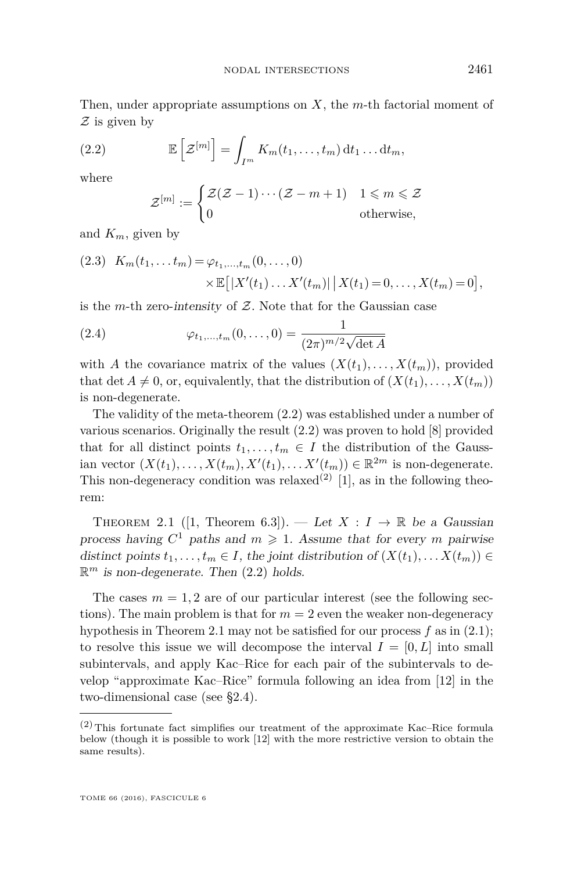Then, under appropriate assumptions on *X*, the *m*-th factorial moment of  $\mathcal Z$  is given by

(2.2) 
$$
\mathbb{E}\left[\mathcal{Z}^{[m]}\right] = \int_{I^m} K_m(t_1,\ldots,t_m) dt_1 \ldots dt_m,
$$

where

<span id="page-7-0"></span>
$$
\mathcal{Z}^{[m]} := \begin{cases} \mathcal{Z}(\mathcal{Z} - 1) \cdots (\mathcal{Z} - m + 1) & 1 \leq m \leq \mathcal{Z} \\ 0 & \text{otherwise,} \end{cases}
$$

and *Km*, given by

<span id="page-7-3"></span>(2.3) 
$$
K_m(t_1,... t_m) = \varphi_{t_1,...,t_m}(0,..., 0)
$$
  
  $\times \mathbb{E}[|X'(t_1)...X'(t_m)| | X(t_1) = 0,..., X(t_m) = 0],$ 

is the *m*-th zero-intensity of  $Z$ . Note that for the Gaussian case

<span id="page-7-2"></span>(2.4) 
$$
\varphi_{t_1,...,t_m}(0,...,0) = \frac{1}{(2\pi)^{m/2}\sqrt{\det A}}
$$

with *A* the covariance matrix of the values  $(X(t_1),...,X(t_m))$ , provided that det  $A \neq 0$ , or, equivalently, that the distribution of  $(X(t_1), \ldots, X(t_m))$ is non-degenerate.

The validity of the meta-theorem [\(2.2\)](#page-7-0) was established under a number of various scenarios. Originally the result [\(2.2\)](#page-7-0) was proven to hold [\[8\]](#page-29-3) provided that for all distinct points  $t_1, \ldots, t_m \in I$  the distribution of the Gaussian vector  $(X(t_1),...,X(t_m),X'(t_1),...X'(t_m)) \in \mathbb{R}^{2m}$  is non-degenerate. This non-degeneracy condition was relaxed<sup>(2)</sup> [\[1\]](#page-29-4), as in the following theorem:

<span id="page-7-1"></span>THEOREM 2.1 ([\[1,](#page-29-4) Theorem 6.3]). — Let  $X: I \to \mathbb{R}$  be a Gaussian process having  $C^1$  paths and  $m \geq 1$ . Assume that for every *m* pairwise distinct points  $t_1, \ldots, t_m \in I$ , the joint distribution of  $(X(t_1), \ldots, X(t_m)) \in$  $\mathbb{R}^m$  is non-degenerate. Then  $(2.2)$  holds.

The cases  $m = 1, 2$  are of our particular interest (see the following sections). The main problem is that for  $m = 2$  even the weaker non-degeneracy hypothesis in Theorem [2.1](#page-7-1) may not be satisfied for our process *f* as in [\(2.1\)](#page-6-1); to resolve this issue we will decompose the interval  $I = [0, L]$  into small subintervals, and apply Kac–Rice for each pair of the subintervals to develop "approximate Kac–Rice" formula following an idea from [\[12\]](#page-30-1) in the two-dimensional case (see [§2.4\)](#page-11-1).

 $(2)$  This fortunate fact simplifies our treatment of the approximate Kac–Rice formula below (though it is possible to work [\[12\]](#page-30-1) with the more restrictive version to obtain the same results).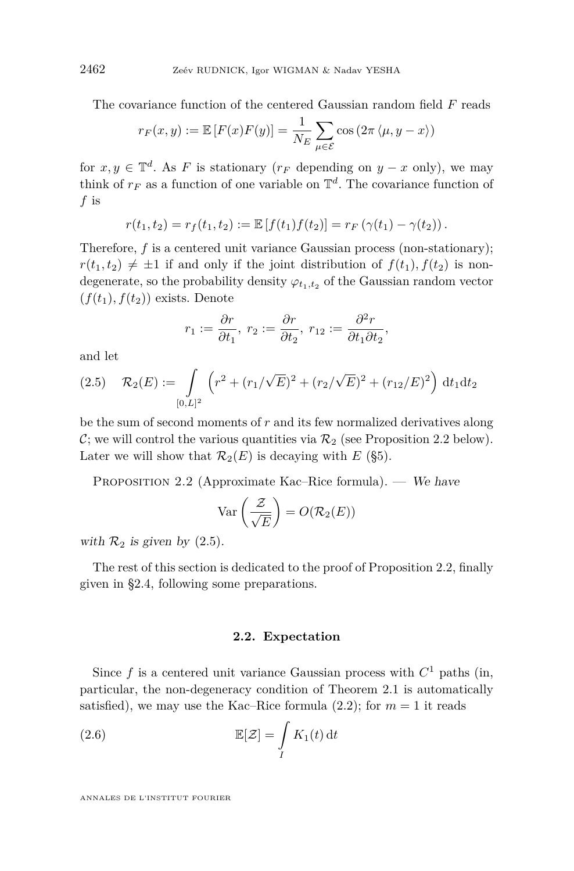The covariance function of the centered Gaussian random field *F* reads

$$
r_F(x,y) := \mathbb{E}\left[F(x)F(y)\right] = \frac{1}{N_E} \sum_{\mu \in \mathcal{E}} \cos\left(2\pi \langle \mu, y - x \rangle\right)
$$

for  $x, y \in \mathbb{T}^d$ . As *F* is stationary ( $r_F$  depending on  $y - x$  only), we may think of  $r_F$  as a function of one variable on  $\mathbb{T}^d$ . The covariance function of *f* is

$$
r(t_1, t_2) = r_f(t_1, t_2) := \mathbb{E}[f(t_1)f(t_2)] = r_F(\gamma(t_1) - \gamma(t_2)).
$$

Therefore, f is a centered unit variance Gaussian process (non-stationary);  $r(t_1, t_2) \neq \pm 1$  if and only if the joint distribution of  $f(t_1)$ ,  $f(t_2)$  is nondegenerate, so the probability density  $\varphi_{t_1,t_2}$  of the Gaussian random vector  $(f(t_1), f(t_2))$  exists. Denote

$$
r_1 := \frac{\partial r}{\partial t_1}, \ r_2 := \frac{\partial r}{\partial t_2}, \ r_{12} := \frac{\partial^2 r}{\partial t_1 \partial t_2},
$$

and let

<span id="page-8-1"></span>
$$
(2.5) \quad \mathcal{R}_2(E) := \int_{[0,L]^2} \left( r^2 + (r_1/\sqrt{E})^2 + (r_2/\sqrt{E})^2 + (r_{12}/E)^2 \right) dt_1 dt_2
$$

be the sum of second moments of *r* and its few normalized derivatives along C; we will control the various quantities via  $\mathcal{R}_2$  (see Proposition [2.2](#page-8-0) below). Later we will show that  $\mathcal{R}_2(E)$  is decaying with *E* ([§5\)](#page-21-0).

<span id="page-8-0"></span>PROPOSITION 2.2 (Approximate Kac–Rice formula). — We have

$$
\text{Var}\left(\frac{\mathcal{Z}}{\sqrt{E}}\right) = O(\mathcal{R}_2(E))
$$

with  $\mathcal{R}_2$  is given by  $(2.5)$ .

The rest of this section is dedicated to the proof of Proposition [2.2,](#page-8-0) finally given in [§2.4,](#page-11-1) following some preparations.

#### <span id="page-8-2"></span>**2.2. Expectation**

Since  $f$  is a centered unit variance Gaussian process with  $C<sup>1</sup>$  paths (in, particular, the non-degeneracy condition of Theorem [2.1](#page-7-1) is automatically satisfied), we may use the Kac–Rice formula  $(2.2)$ ; for  $m = 1$  it reads

(2.6) 
$$
\mathbb{E}[\mathcal{Z}] = \int\limits_{I} K_1(t) dt
$$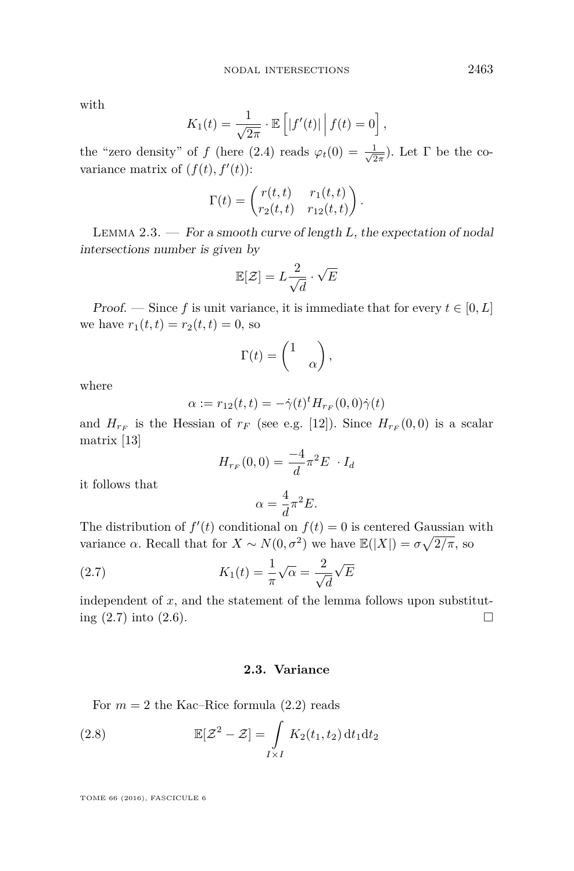with

$$
K_1(t) = \frac{1}{\sqrt{2\pi}} \cdot \mathbb{E}\left[|f'(t)| \mid f(t) = 0\right],
$$

the "zero density" of *f* (here [\(2.4\)](#page-7-2) reads  $\varphi_t(0) = \frac{1}{\sqrt{2}}$  $\frac{1}{2\pi}$ ). Let  $\Gamma$  be the covariance matrix of  $(f(t), f'(t))$ :

$$
\Gamma(t) = \begin{pmatrix} r(t,t) & r_1(t,t) \\ r_2(t,t) & r_{12}(t,t) \end{pmatrix}.
$$

Lemma 2.3. — For a smooth curve of length *L*, the expectation of nodal intersections number is given by

$$
\mathbb{E}[\mathcal{Z}] = L \frac{2}{\sqrt{d}} \cdot \sqrt{E}
$$

Proof. — Since f is unit variance, it is immediate that for every  $t \in [0, L]$ we have  $r_1(t, t) = r_2(t, t) = 0$ , so

$$
\Gamma(t) = \begin{pmatrix} 1 & \\ & \alpha \end{pmatrix},
$$

where

$$
\alpha := r_{12}(t, t) = -\dot{\gamma}(t)^t H_{r_F}(0, 0)\dot{\gamma}(t)
$$

and  $H_{r_F}$  is the Hessian of  $r_F$  (see e.g. [\[12\]](#page-30-1)). Since  $H_{r_F}(0,0)$  is a scalar matrix [\[13\]](#page-30-2)

$$
H_{r_F}(0,0) = \frac{-4}{d}\pi^2 E \cdot I_d
$$

it follows that

<span id="page-9-0"></span>
$$
\alpha = \frac{4}{d}\pi^2 E.
$$

The distribution of  $f'(t)$  conditional on  $f(t) = 0$  is centered Gaussian with variance  $\alpha$ . Recall that for  $X \sim N(0, \sigma^2)$  we have  $\mathbb{E}(|X|) = \sigma \sqrt{2/\pi}$ , so

(2.7) 
$$
K_1(t) = \frac{1}{\pi} \sqrt{\alpha} = \frac{2}{\sqrt{d}} \sqrt{E}
$$

independent of  $x$ , and the statement of the lemma follows upon substituting  $(2.7)$  into  $(2.6)$ .

#### <span id="page-9-1"></span>**2.3. Variance**

For  $m = 2$  the Kac–Rice formula  $(2.2)$  reads

(2.8) 
$$
\mathbb{E}[\mathcal{Z}^2 - \mathcal{Z}] = \int\limits_{I \times I} K_2(t_1, t_2) dt_1 dt_2
$$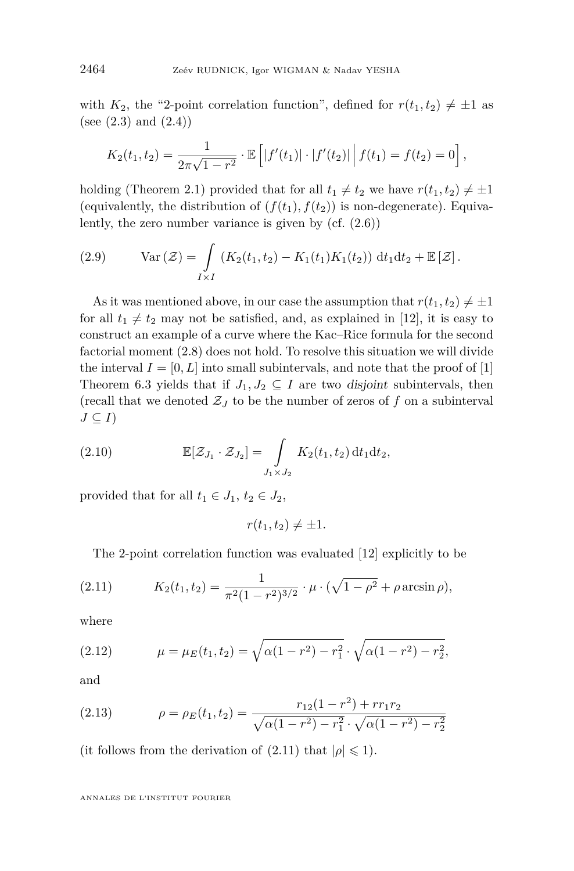with  $K_2$ , the "2-point correlation function", defined for  $r(t_1, t_2) \neq \pm 1$  as (see  $(2.3)$  and  $(2.4)$ )

$$
K_2(t_1, t_2) = \frac{1}{2\pi\sqrt{1-r^2}} \cdot \mathbb{E}\left[|f'(t_1)| \cdot |f'(t_2)| | f(t_1) = f(t_2) = 0\right],
$$

holding (Theorem [2.1\)](#page-7-1) provided that for all  $t_1 \neq t_2$  we have  $r(t_1, t_2) \neq \pm 1$ (equivalently, the distribution of  $(f(t_1), f(t_2))$  is non-degenerate). Equivalently, the zero number variance is given by (cf. [\(2.6\)](#page-8-2))

<span id="page-10-1"></span>(2.9) 
$$
\operatorname{Var}(\mathcal{Z}) = \int\limits_{I \times I} (K_2(t_1, t_2) - K_1(t_1)K_1(t_2)) dt_1 dt_2 + \mathbb{E}[\mathcal{Z}].
$$

As it was mentioned above, in our case the assumption that  $r(t_1, t_2) \neq \pm 1$ for all  $t_1 \neq t_2$  may not be satisfied, and, as explained in [\[12\]](#page-30-1), it is easy to construct an example of a curve where the Kac–Rice formula for the second factorial moment [\(2.8\)](#page-9-1) does not hold. To resolve this situation we will divide the interval  $I = [0, L]$  into small subintervals, and note that the proof of [\[1\]](#page-29-4) Theorem 6.3 yields that if  $J_1, J_2 \subseteq I$  are two disjoint subintervals, then (recall that we denoted  $\mathcal{Z}_J$  to be the number of zeros of  $f$  on a subinterval  $J \subseteq I$ 

(2.10) 
$$
\mathbb{E}[\mathcal{Z}_{J_1} \cdot \mathcal{Z}_{J_2}] = \int\limits_{J_1 \times J_2} K_2(t_1, t_2) dt_1 dt_2,
$$

provided that for all  $t_1 \in J_1$ ,  $t_2 \in J_2$ ,

<span id="page-10-2"></span>
$$
r(t_1, t_2) \neq \pm 1.
$$

<span id="page-10-0"></span>The 2-point correlation function was evaluated [\[12\]](#page-30-1) explicitly to be

(2.11) 
$$
K_2(t_1, t_2) = \frac{1}{\pi^2 (1 - r^2)^{3/2}} \cdot \mu \cdot (\sqrt{1 - \rho^2} + \rho \arcsin \rho),
$$

where

<span id="page-10-3"></span>(2.12) 
$$
\mu = \mu_E(t_1, t_2) = \sqrt{\alpha(1 - r^2) - r_1^2} \cdot \sqrt{\alpha(1 - r^2) - r_2^2},
$$

and

<span id="page-10-4"></span>(2.13) 
$$
\rho = \rho_E(t_1, t_2) = \frac{r_{12}(1 - r^2) + r r_1 r_2}{\sqrt{\alpha(1 - r^2) - r_1^2} \cdot \sqrt{\alpha(1 - r^2) - r_2^2}}
$$

(it follows from the derivation of  $(2.11)$  that  $|\rho| \leq 1$ ).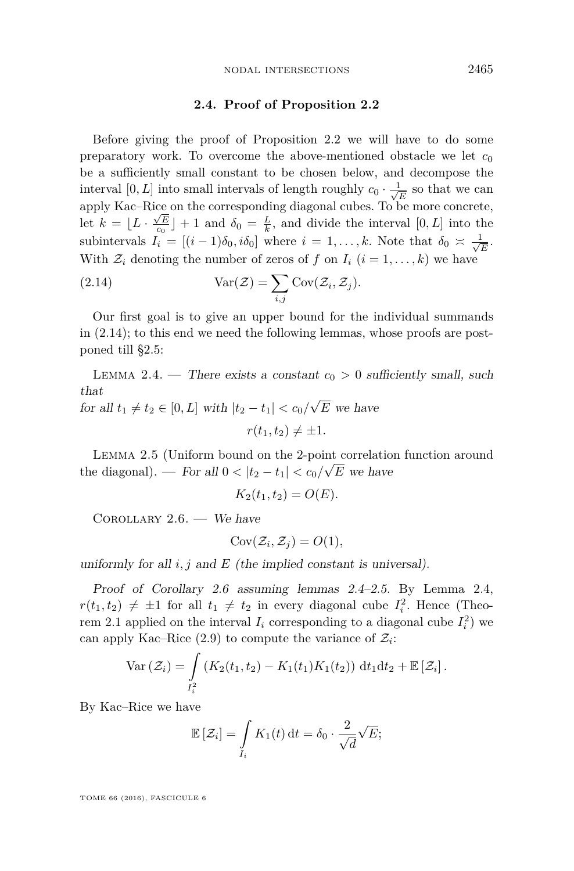#### **2.4. Proof of Proposition [2.2](#page-8-0)**

<span id="page-11-1"></span>Before giving the proof of Proposition [2.2](#page-8-0) we will have to do some preparatory work. To overcome the above-mentioned obstacle we let  $c_0$ be a sufficiently small constant to be chosen below, and decompose the interval [0, L] into small intervals of length roughly  $c_0 \cdot \frac{1}{\sqrt{2}}$  $\frac{L}{\overline{E}}$  so that we can apply Kac–Rice on the corresponding diagonal cubes. To be more concrete, let  $k = \lfloor L \cdot \frac{\sqrt{E}}{\log} \rfloor + 1$  and  $\delta_0 = \frac{L}{k}$ , and divide the interval  $[0, L]$  into the subintervals  $I_i = [(i-1)\delta_0, i\delta_0]$  where  $i = 1, \ldots, k$ . Note that  $\delta_0 \approx \frac{1}{\sqrt{k}}$ *E .* With  $\mathcal{Z}_i$  denoting the number of zeros of f on  $I_i$   $(i = 1, \ldots, k)$  we have

<span id="page-11-0"></span>(2.14) 
$$
Var(\mathcal{Z}) = \sum_{i,j} Cov(\mathcal{Z}_i, \mathcal{Z}_j).
$$

Our first goal is to give an upper bound for the individual summands in [\(2.14\)](#page-11-0); to this end we need the following lemmas, whose proofs are postponed till [§2.5:](#page-14-0)

<span id="page-11-3"></span>LEMMA 2.4. — There exists a constant  $c_0 > 0$  sufficiently small, such that √

 $f$ or all  $t_1 \neq t_2 \in [0, L]$  with  $|t_2 - t_1| < c_0/2$ *E* we have  $r(t_1, t_2) \neq \pm 1.$ 

<span id="page-11-4"></span>LEMMA 2.5 (Uniform bound on the 2-point correlation function around the diagonal). — For all  $0 < |t_2 - t_1| < c_0/\sqrt{E}$  we have

$$
K_2(t_1, t_2) = O(E).
$$

<span id="page-11-2"></span>COROLLARY  $2.6.$  - We have

$$
Cov(\mathcal{Z}_i, \mathcal{Z}_j) = O(1),
$$

uniformly for all  $i, j$  and  $E$  (the implied constant is universal).

Proof of Corollary [2.6](#page-11-2) assuming lemmas [2.4–](#page-11-3)[2.5.](#page-11-4) By Lemma [2.4,](#page-11-3)  $r(t_1, t_2) \neq \pm 1$  for all  $t_1 \neq t_2$  in every diagonal cube  $I_i^2$ . Hence (Theo-rem [2.1](#page-7-1) applied on the interval  $I_i$  corresponding to a diagonal cube  $I_i^2$ ) we can apply Kac–Rice  $(2.9)$  to compute the variance of  $\mathcal{Z}_i$ :

$$
\text{Var}\left(\mathcal{Z}_i\right) = \int\limits_{I_i^2} \left( K_2(t_1, t_2) - K_1(t_1) K_1(t_2) \right) \, \mathrm{d}t_1 \mathrm{d}t_2 + \mathbb{E}\left[\mathcal{Z}_i\right].
$$

By Kac–Rice we have

$$
\mathbb{E}\left[\mathcal{Z}_i\right] = \int\limits_{I_i} K_1(t) \, \mathrm{d}t = \delta_0 \cdot \frac{2}{\sqrt{d}} \sqrt{E};
$$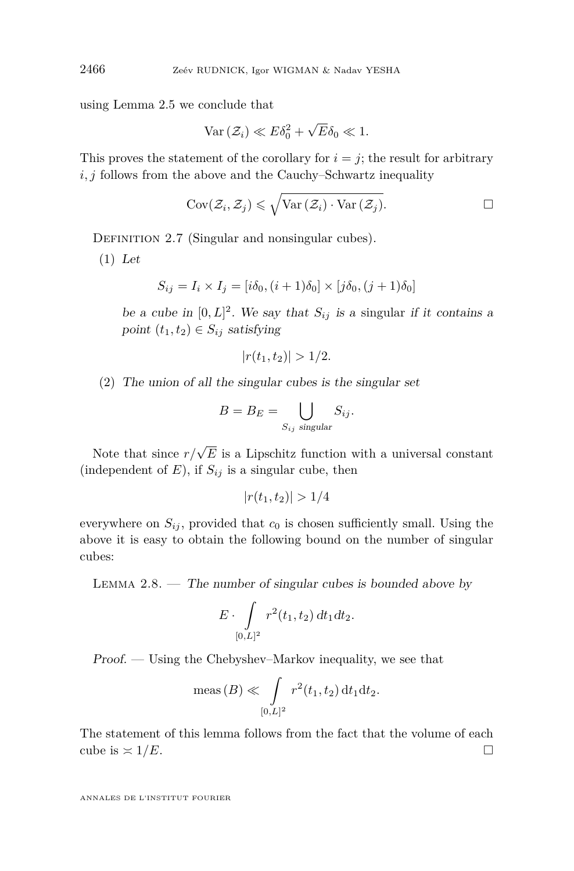using Lemma [2.5](#page-11-4) we conclude that

$$
\text{Var}\left(\mathcal{Z}_i\right) \ll E\delta_0^2 + \sqrt{E}\delta_0 \ll 1.
$$

This proves the statement of the corollary for  $i = j$ ; the result for arbitrary *i, j* follows from the above and the Cauchy–Schwartz inequality

$$
Cov(\mathcal{Z}_i, \mathcal{Z}_j) \leq \sqrt{\text{Var}(\mathcal{Z}_i) \cdot \text{Var}(\mathcal{Z}_j)}.
$$

DEFINITION 2.7 (Singular and nonsingular cubes).

(1) Let

$$
S_{ij} = I_i \times I_j = [i\delta_0, (i+1)\delta_0] \times [j\delta_0, (j+1)\delta_0]
$$

be a cube in  $[0, L]^2$ . We say that  $S_{ij}$  is a singular if it contains a point  $(t_1, t_2) \in S_{ij}$  satisfying

$$
|r(t_1, t_2)| > 1/2.
$$

(2) The union of all the singular cubes is the singular set

$$
B = B_E = \bigcup_{S_{ij} \text{ singular}} S_{ij}.
$$

Note that since  $r/\sqrt{E}$  is a Lipschitz function with a universal constant (independent of  $E$ ), if  $S_{ij}$  is a singular cube, then

$$
|r(t_1, t_2)| > 1/4
$$

everywhere on  $S_{ij}$ , provided that  $c_0$  is chosen sufficiently small. Using the above it is easy to obtain the following bound on the number of singular cubes:

<span id="page-12-0"></span>LEMMA  $2.8.$  — The number of singular cubes is bounded above by

$$
E\cdot \int\limits_{[0,L]^2} r^2(t_1,t_2)\,dt_1dt_2.
$$

Proof. — Using the Chebyshev–Markov inequality, we see that

$$
\text{meas}(B) \ll \int_{[0,L]^2} r^2(t_1, t_2) dt_1 dt_2.
$$

The statement of this lemma follows from the fact that the volume of each cube is  $\approx 1/E$ .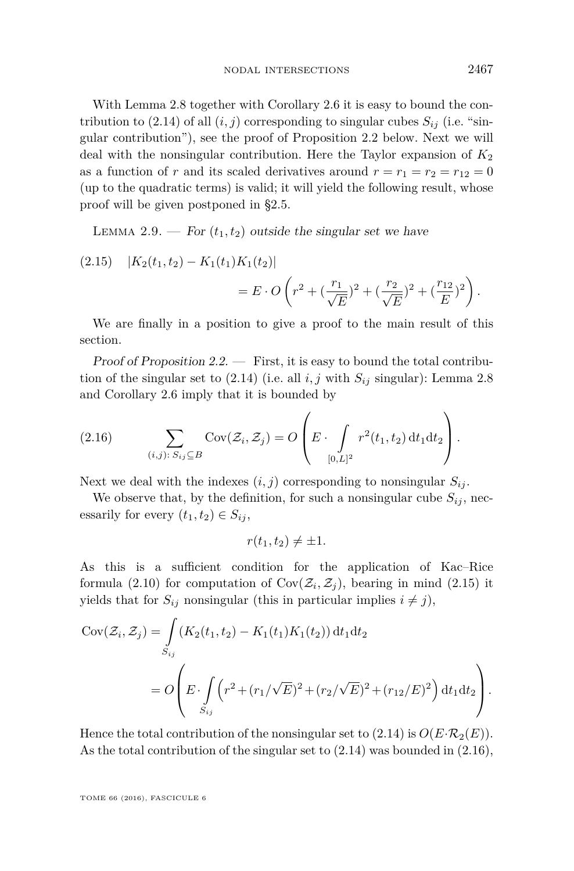With Lemma [2.8](#page-12-0) together with Corollary [2.6](#page-11-2) it is easy to bound the con-tribution to [\(2.14\)](#page-11-0) of all  $(i, j)$  corresponding to singular cubes  $S_{ij}$  (i.e. "singular contribution"), see the proof of Proposition [2.2](#page-8-0) below. Next we will deal with the nonsingular contribution. Here the Taylor expansion of  $K_2$ as a function of *r* and its scaled derivatives around  $r = r_1 = r_2 = r_{12} = 0$ (up to the quadratic terms) is valid; it will yield the following result, whose proof will be given postponed in [§2.5.](#page-14-0)

<span id="page-13-2"></span>LEMMA 2.9. — For  $(t_1, t_2)$  outside the singular set we have

<span id="page-13-0"></span>(2.15) 
$$
|K_2(t_1, t_2) - K_1(t_1)K_1(t_2)|
$$
  
=  $E \cdot O\left(r^2 + \left(\frac{r_1}{\sqrt{E}}\right)^2 + \left(\frac{r_2}{\sqrt{E}}\right)^2 + \left(\frac{r_{12}}{E}\right)^2\right).$ 

We are finally in a position to give a proof to the main result of this section.

Proof of Proposition  $2.2.$  — First, it is easy to bound the total contribution of the singular set to  $(2.14)$  (i.e. all *i, j* with  $S_{ij}$  singular): Lemma [2.8](#page-12-0) and Corollary [2.6](#page-11-2) imply that it is bounded by

<span id="page-13-1"></span>(2.16) 
$$
\sum_{(i,j):\,S_{ij}\subseteq B}\text{Cov}(\mathcal{Z}_i,\mathcal{Z}_j)=O\left(E\cdot\int_{[0,L]^2}r^2(t_1,t_2)\,\mathrm{d}t_1\mathrm{d}t_2\right).
$$

Next we deal with the indexes  $(i, j)$  corresponding to nonsingular  $S_{ij}$ .

We observe that, by the definition, for such a nonsingular cube  $S_{ij}$ , necessarily for every  $(t_1, t_2) \in S_{ij}$ ,

$$
r(t_1, t_2) \neq \pm 1.
$$

As this is a sufficient condition for the application of Kac–Rice formula [\(2.10\)](#page-10-2) for computation of  $Cov(\mathcal{Z}_i, \mathcal{Z}_j)$ , bearing in mind [\(2.15\)](#page-13-0) it yields that for  $S_{ij}$  nonsingular (this in particular implies  $i \neq j$ ),

$$
Cov(\mathcal{Z}_i, \mathcal{Z}_j) = \int_{S_{ij}} (K_2(t_1, t_2) - K_1(t_1)K_1(t_2)) dt_1 dt_2
$$
  
=  $O\left(E \cdot \int_{S_{ij}} (r^2 + (r_1/\sqrt{E})^2 + (r_2/\sqrt{E})^2 + (r_{12}/E)^2) dt_1 dt_2\right).$ 

Hence the total contribution of the nonsingular set to  $(2.14)$  is  $O(E \cdot \mathcal{R}_2(E))$ . As the total contribution of the singular set to [\(2.14\)](#page-11-0) was bounded in [\(2.16\)](#page-13-1),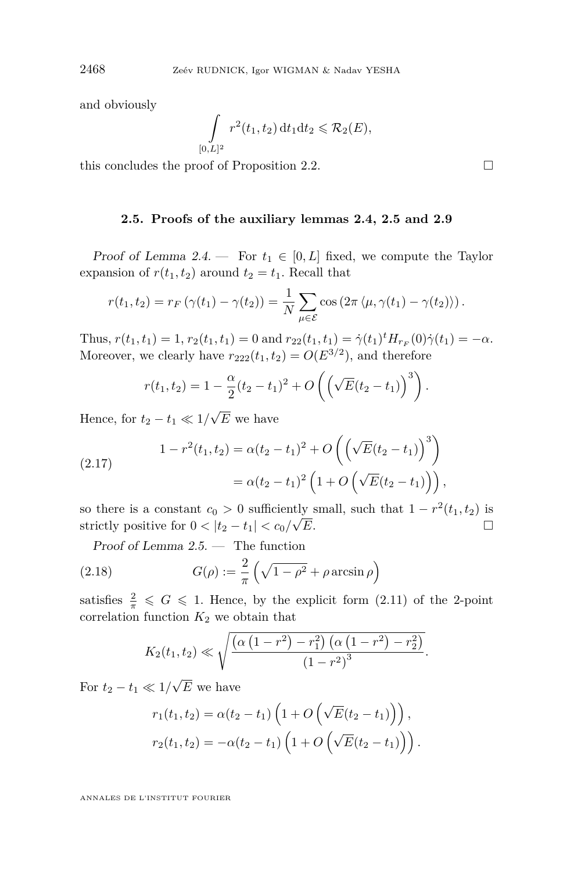and obviously

$$
\int_{[0,L]^2} r^2(t_1,t_2) dt_1 dt_2 \leq \mathcal{R}_2(E),
$$

this concludes the proof of Proposition [2.2.](#page-8-0)  $\Box$ 

#### **2.5. Proofs of the auxiliary lemmas [2.4,](#page-11-3) [2.5](#page-11-4) and [2.9](#page-13-2)**

<span id="page-14-0"></span>Proof of Lemma [2.4.](#page-11-3) — For  $t_1 \in [0, L]$  fixed, we compute the Taylor expansion of  $r(t_1, t_2)$  around  $t_2 = t_1$ . Recall that

$$
r(t_1, t_2) = r_F \left( \gamma(t_1) - \gamma(t_2) \right) = \frac{1}{N} \sum_{\mu \in \mathcal{E}} \cos \left( 2 \pi \langle \mu, \gamma(t_1) - \gamma(t_2) \rangle \right).
$$

Thus,  $r(t_1, t_1) = 1$ ,  $r_2(t_1, t_1) = 0$  and  $r_{22}(t_1, t_1) = \dot{\gamma}(t_1)^t H_{r}(\theta) \dot{\gamma}(t_1) = -\alpha$ . Moreover, we clearly have  $r_{222}(t_1, t_2) = O(E^{3/2})$ , and therefore

$$
r(t_1, t_2) = 1 - \frac{\alpha}{2}(t_2 - t_1)^2 + O\left(\left(\sqrt{E}(t_2 - t_1)\right)^3\right).
$$

Hence, for  $t_2 - t_1 \ll 1/$ *E* we have

<span id="page-14-1"></span>(2.17) 
$$
1 - r^{2}(t_{1}, t_{2}) = \alpha (t_{2} - t_{1})^{2} + O\left(\left(\sqrt{E}(t_{2} - t_{1})\right)^{3}\right)
$$

$$
= \alpha (t_{2} - t_{1})^{2} \left(1 + O\left(\sqrt{E}(t_{2} - t_{1})\right)\right),
$$

so there is a constant  $c_0 > 0$  sufficiently small, such that  $1 - r^2(t_1, t_2)$  is strictly positive for  $0 < |t_2 - t_1| < c_0 / \sqrt{E}$ . *E*.

Proof of Lemma [2.5.](#page-11-4) — The function

(2.18) 
$$
G(\rho) := \frac{2}{\pi} \left( \sqrt{1 - \rho^2} + \rho \arcsin \rho \right)
$$

satisfies  $\frac{2}{\pi} \leqslant G \leqslant 1$ . Hence, by the explicit form [\(2.11\)](#page-10-0) of the 2-point correlation function  $K_2$  we obtain that

<span id="page-14-2"></span>
$$
K_2(t_1, t_2) \ll \sqrt{\frac{\left(\alpha \left(1 - r^2\right) - r_1^2\right) \left(\alpha \left(1 - r^2\right) - r_2^2\right)}{\left(1 - r^2\right)^3}}.
$$

For  $t_2 - t_1 \ll 1/$ *E* we have

$$
r_1(t_1, t_2) = \alpha(t_2 - t_1) \left( 1 + O\left(\sqrt{E}(t_2 - t_1)\right) \right),
$$
  

$$
r_2(t_1, t_2) = -\alpha(t_2 - t_1) \left( 1 + O\left(\sqrt{E}(t_2 - t_1)\right) \right).
$$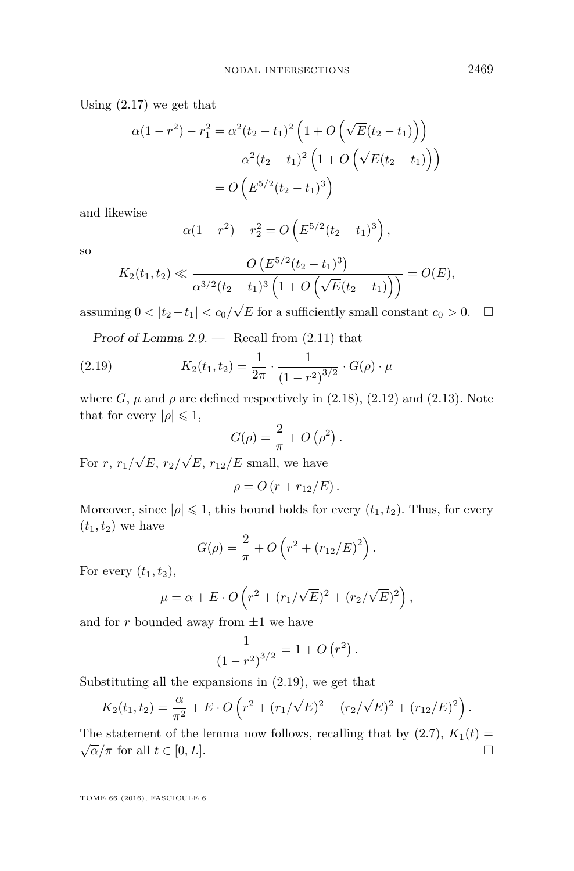Using [\(2.17\)](#page-14-1) we get that

$$
\alpha(1 - r^2) - r_1^2 = \alpha^2 (t_2 - t_1)^2 \left( 1 + O\left(\sqrt{E}(t_2 - t_1)\right) \right)
$$

$$
- \alpha^2 (t_2 - t_1)^2 \left( 1 + O\left(\sqrt{E}(t_2 - t_1)\right) \right)
$$

$$
= O\left(E^{5/2} (t_2 - t_1)^3\right)
$$

and likewise

$$
\alpha(1 - r^2) - r_2^2 = O\left(E^{5/2}(t_2 - t_1)^3\right),\,
$$

so

$$
K_2(t_1, t_2) \ll \frac{O\left(E^{5/2}(t_2 - t_1)^3\right)}{\alpha^{3/2}(t_2 - t_1)^3 \left(1 + O\left(\sqrt{E}(t_2 - t_1)\right)\right)} = O(E),
$$

assuming  $0 < |t_2 - t_1| < c_0/$  $\sqrt{E}$  for a sufficiently small constant  $c_0 > 0$ .  $\Box$ 

Proof of Lemma  $2.9.$  — Recall from  $(2.11)$  that

(2.19) 
$$
K_2(t_1, t_2) = \frac{1}{2\pi} \cdot \frac{1}{(1 - r^2)^{3/2}} \cdot G(\rho) \cdot \mu
$$

where  $G$ ,  $\mu$  and  $\rho$  are defined respectively in [\(2.18\)](#page-14-2), [\(2.12\)](#page-10-3) and [\(2.13\)](#page-10-4). Note that for every  $|\rho| \leq 1$ ,

<span id="page-15-0"></span>
$$
G(\rho) = \frac{2}{\pi} + O\left(\rho^2\right).
$$

For *r*, *r*1*/* √ *E*, *r*2*/* √  $E, r_{12}/E$  small, we have

$$
\rho = O(r + r_{12}/E).
$$

Moreover, since  $|\rho| \leq 1$ , this bound holds for every  $(t_1, t_2)$ . Thus, for every  $(t_1, t_2)$  we have

$$
G(\rho) = \frac{2}{\pi} + O\left(r^2 + (r_{12}/E)^2\right).
$$

For every  $(t_1, t_2)$ ,

$$
\mu = \alpha + E \cdot O\left(r^2 + (r_1/\sqrt{E})^2 + (r_2/\sqrt{E})^2\right),\,
$$

and for  $r$  bounded away from  $\pm 1$  we have

$$
\frac{1}{(1-r^2)^{3/2}} = 1 + O(r^2).
$$

Substituting all the expansions in [\(2.19\)](#page-15-0), we get that

$$
K_2(t_1, t_2) = \frac{\alpha}{\pi^2} + E \cdot O\left(r^2 + (r_1/\sqrt{E})^2 + (r_2/\sqrt{E})^2 + (r_{12}/E)^2\right).
$$

The statement of the lemma now follows, recalling that by  $(2.7)$ ,  $K_1(t)$ The statement of the femma now follows, recalling that by  $(2.1)$ ,  $\Lambda_1(\nu) = \sqrt{\alpha}/\pi$  for all  $t \in [0, L]$ .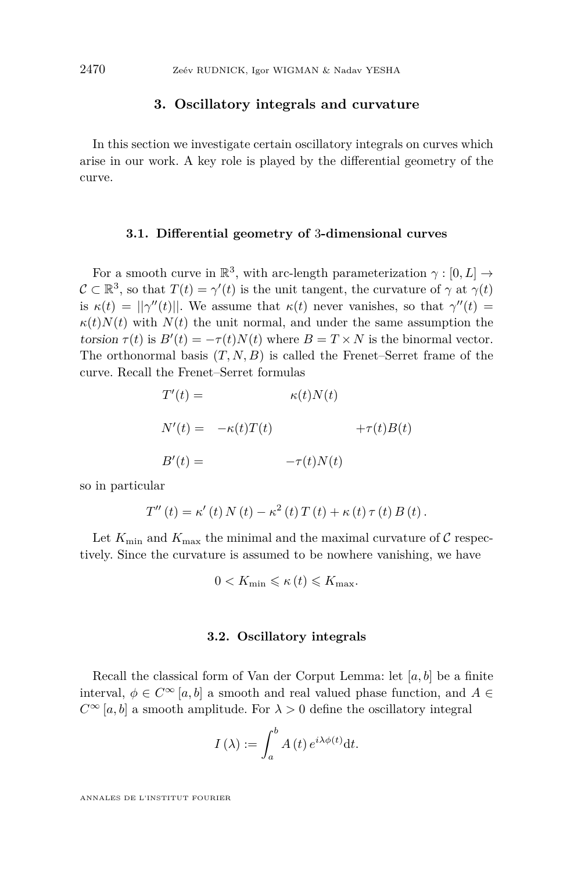#### **3. Oscillatory integrals and curvature**

<span id="page-16-0"></span>In this section we investigate certain oscillatory integrals on curves which arise in our work. A key role is played by the differential geometry of the curve.

#### **3.1. Differential geometry of** 3**-dimensional curves**

For a smooth curve in  $\mathbb{R}^3$ , with arc-length parameterization  $\gamma : [0, L] \rightarrow$  $\mathcal{C} \subset \mathbb{R}^3$ , so that  $T(t) = \gamma'(t)$  is the unit tangent, the curvature of  $\gamma$  at  $\gamma(t)$ is  $\kappa(t) = ||\gamma''(t)||$ . We assume that  $\kappa(t)$  never vanishes, so that  $\gamma''(t) =$  $\kappa(t)N(t)$  with  $N(t)$  the unit normal, and under the same assumption the torsion  $\tau(t)$  is  $B'(t) = -\tau(t)N(t)$  where  $B = T \times N$  is the binormal vector. The orthonormal basis  $(T, N, B)$  is called the Frenet–Serret frame of the curve. Recall the Frenet–Serret formulas

$$
T'(t) = \kappa(t)N(t)
$$
  
\n
$$
N'(t) = -\kappa(t)T(t) + \tau(t)B(t)
$$
  
\n
$$
B'(t) = -\tau(t)N(t)
$$

so in particular

$$
T''(t) = \kappa'(t) N(t) - \kappa^{2}(t) T(t) + \kappa(t) \tau(t) B(t).
$$

Let  $K_{\min}$  and  $K_{\max}$  the minimal and the maximal curvature of C respectively. Since the curvature is assumed to be nowhere vanishing, we have

$$
0 < K_{\min} \leqslant \kappa \left( t \right) \leqslant K_{\max}.
$$

#### **3.2. Oscillatory integrals**

Recall the classical form of Van der Corput Lemma: let [*a, b*] be a finite interval,  $\phi \in C^{\infty}[a, b]$  a smooth and real valued phase function, and  $A \in$  $C^{\infty}[a, b]$  a smooth amplitude. For  $\lambda > 0$  define the oscillatory integral

$$
I(\lambda) := \int_a^b A(t) e^{i\lambda \phi(t)} dt.
$$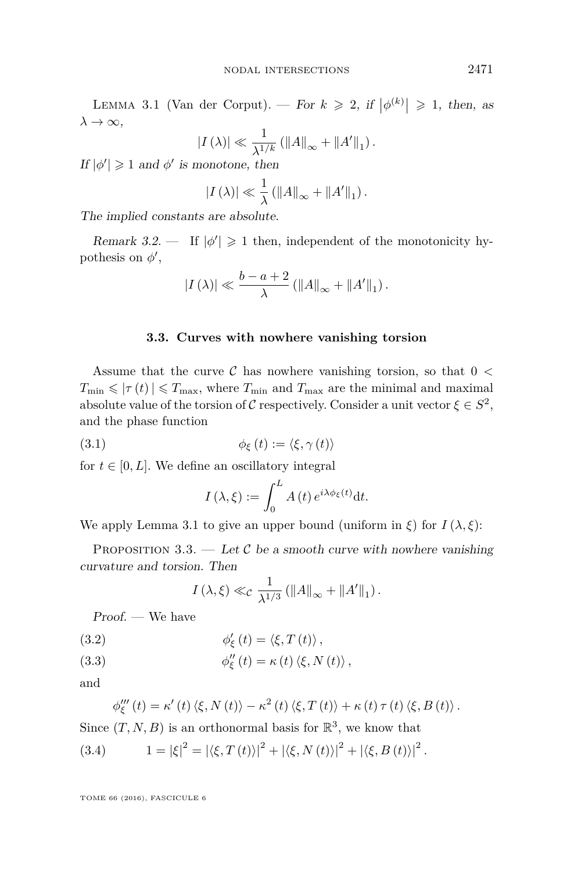<span id="page-17-0"></span>LEMMA 3.1 (Van der Corput). — For  $k \geq 2$ , if  $|\phi^{(k)}| \geq 1$ , then, as  $\lambda \to \infty$ ,

$$
|I(\lambda)| \ll \frac{1}{\lambda^{1/k}} \left( \|A\|_{\infty} + \|A'\|_{1} \right).
$$

If  $|\phi'| \geq 1$  and  $\phi'$  is monotone, then

$$
|I(\lambda)| \ll \frac{1}{\lambda} \left( ||A||_{\infty} + ||A'||_1 \right).
$$

The implied constants are absolute.

Remark 3.2.  $\blacksquare$  If  $|\phi'| \geq 1$  then, independent of the monotonicity hypothesis on  $\phi'$ ,

$$
|I(\lambda)| \ll \frac{b-a+2}{\lambda} \left( ||A||_{\infty} + ||A'||_1 \right).
$$

#### **3.3. Curves with nowhere vanishing torsion**

Assume that the curve C has nowhere vanishing torsion, so that 0 *<*  $T_{\min} \leq \left| \tau(t) \right| \leq T_{\max}$ , where  $T_{\min}$  and  $T_{\max}$  are the minimal and maximal absolute value of the torsion of C respectively. Consider a unit vector  $\xi \in S^2$ , and the phase function

(3.1) 
$$
\phi_{\xi}(t) := \langle \xi, \gamma(t) \rangle
$$

for  $t \in [0, L]$ . We define an oscillatory integral

<span id="page-17-2"></span>
$$
I(\lambda,\xi) := \int_0^L A(t) e^{i\lambda \phi_{\xi}(t)} dt.
$$

We apply Lemma [3.1](#page-17-0) to give an upper bound (uniform in  $\xi$ ) for  $I(\lambda, \xi)$ :

<span id="page-17-1"></span>PROPOSITION 3.3. — Let C be a smooth curve with nowhere vanishing curvature and torsion. Then

$$
I(\lambda,\xi)\ll_{\mathcal{C}} \frac{1}{\lambda^{1/3}}\left(\|A\|_{\infty}+\|A'\|_{1}\right).
$$

Proof. — We have

<span id="page-17-4"></span>(3.2) 
$$
\phi'_{\xi}(t) = \langle \xi, T(t) \rangle,
$$

<span id="page-17-5"></span>(3.3) 
$$
\phi''_{\xi}(t) = \kappa(t) \langle \xi, N(t) \rangle,
$$

and

<span id="page-17-3"></span>
$$
\phi_{\xi}'''(t) = \kappa'(t) \langle \xi, N(t) \rangle - \kappa^2(t) \langle \xi, T(t) \rangle + \kappa(t) \tau(t) \langle \xi, B(t) \rangle.
$$

Since  $(T, N, B)$  is an orthonormal basis for  $\mathbb{R}^3$ , we know that

(3.4) 
$$
1 = |\xi|^2 = |\langle \xi, T(t) \rangle|^2 + |\langle \xi, N(t) \rangle|^2 + |\langle \xi, B(t) \rangle|^2.
$$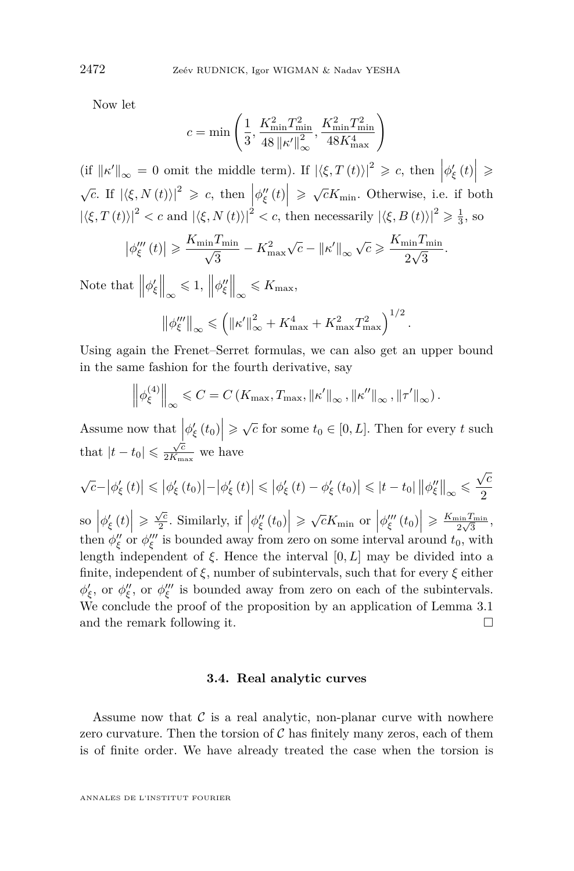Now let

$$
c = \min\left(\frac{1}{3}, \frac{K_{\min}^2 T_{\min}^2}{48 \left\| \kappa' \right\|_{\infty}^2}, \frac{K_{\min}^2 T_{\min}^2}{48 K_{\max}^4}\right)
$$

 $\left\langle \text{if } ||\kappa'||_{\infty} = 0 \text{ omit the middle term} \right\rangle$ . If  $|\langle \xi, T(t) \rangle|^2 \geq c$ , then  $|\phi_{\xi}'(t)| \geq c$  $\sqrt{c}$ . If  $|\langle \xi, N(t) \rangle|^2 \geqslant c$ , then  $\left| \phi''_{\xi}(t) \right| \geqslant \sqrt{c}K_{\min}$ . Otherwise, i.e. if both  $|\langle \xi, T(t) \rangle|^2 < c$  and  $|\langle \xi, N(t) \rangle|^2 < c$ , then necessarily  $|\langle \xi, B(t) \rangle|^2 \geq \frac{1}{3}$ , so

$$
\left|\phi_{\xi}'''(t)\right| \geqslant \frac{K_{\min} T_{\min}}{\sqrt{3}} - K_{\max}^2 \sqrt{c} - \|\kappa'\|_{\infty} \sqrt{c} \geqslant \frac{K_{\min} T_{\min}}{2\sqrt{3}}.
$$

Note that  $\left\|\phi'_{\xi}\right\|_{\infty} \leq 1, \left\|\phi''_{\xi}\right\|_{\infty} \leq K_{\max},$ 

$$
\left\|\phi_{\xi}''' \right\|_{\infty} \leqslant \left(\left\|\kappa' \right\|_{\infty}^{2} + K_{\max}^{4} + K_{\max}^{2} T_{\max}^{2} \right)^{1/2}.
$$

Using again the Frenet–Serret formulas, we can also get an upper bound in the same fashion for the fourth derivative, say

$$
\left\|\phi_{\xi}^{(4)}\right\|_{\infty} \leq C = C\left(K_{\max}, T_{\max}, \|\kappa'\|_{\infty}, \|\kappa''\|_{\infty}, \|\tau'\|_{\infty}\right).
$$

Assume now that  $\left|\phi'_{\xi}(t_0)\right| \geq \sqrt{c}$  for some  $t_0 \in [0, L]$ . Then for every *t* such that  $|t-t_0| \leqslant \frac{\sqrt{c}}{2K_m}$  $\frac{\sqrt{c}}{2K_{\max}}$  we have

$$
\sqrt{c} - \left|\phi_{\xi}'\left(t\right)\right| \leq \left|\phi_{\xi}'\left(t_{0}\right)\right| - \left|\phi_{\xi}'\left(t\right)\right| \leq \left|\phi_{\xi}'\left(t\right) - \phi_{\xi}'\left(t_{0}\right)\right| \leq \left|t - t_{0}\right| \left\|\phi_{\xi}''\right\|_{\infty} \leq \frac{\sqrt{c}}{2}
$$

 $\left|\phi'_{\xi}(t)\right| \geqslant \frac{\sqrt{c}}{2}$  $\left|\frac{\sqrt{c}}{2}$ . Similarly, if  $\left|\phi''_{\xi}(t_0)\right| \geqslant \sqrt{c}K_{\min}$  or  $\left|\phi'''_{\xi}(t_0)\right| \geqslant \frac{K_{\min}T_{\min}}{2\sqrt{3}}$  $\frac{\sin T_{\min}}{2\sqrt{3}},$ then  $\phi''_{\xi}$  or  $\phi'''_{\xi}$  is bounded away from zero on some interval around  $t_0$ , with length independent of *ξ*. Hence the interval [0*, L*] may be divided into a finite, independent of  $\xi$ , number of subintervals, such that for every<br> $\xi$  either  $\phi'_{\xi}$ , or  $\phi''_{\xi}$ , or  $\phi'''_{\xi}$  is bounded away from zero on each of the subintervals. We conclude the proof of the proposition by an application of Lemma [3.1](#page-17-0) and the remark following it.

#### **3.4. Real analytic curves**

Assume now that  $\mathcal C$  is a real analytic, non-planar curve with nowhere zero curvature. Then the torsion of  $\mathcal C$  has finitely many zeros, each of them is of finite order. We have already treated the case when the torsion is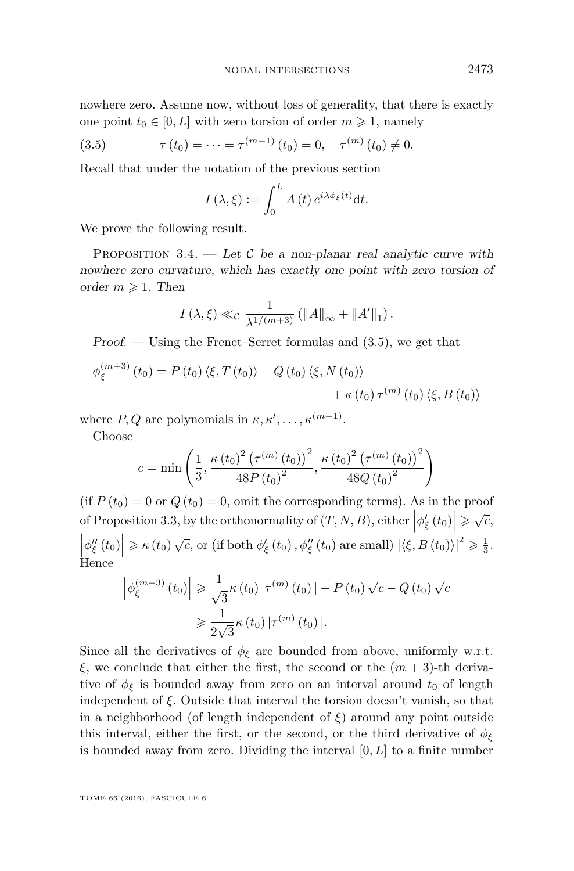nowhere zero. Assume now, without loss of generality, that there is exactly one point  $t_0 \in [0, L]$  with zero torsion of order  $m \geq 1$ , namely

(3.5) 
$$
\tau(t_0) = \cdots = \tau^{(m-1)}(t_0) = 0, \quad \tau^{(m)}(t_0) \neq 0.
$$

Recall that under the notation of the previous section

<span id="page-19-0"></span>
$$
I(\lambda,\xi) := \int_0^L A(t) e^{i\lambda \phi_{\xi}(t)} dt.
$$

We prove the following result.

<span id="page-19-1"></span>PROPOSITION 3.4. — Let  $\mathcal C$  be a non-planar real analytic curve with nowhere zero curvature, which has exactly one point with zero torsion of order  $m \geq 1$ . Then

$$
I(\lambda, \xi) \ll_c \frac{1}{\lambda^{1/(m+3)}} (\|A\|_{\infty} + \|A'\|_1).
$$

 $Proof.$  — Using the Frenet–Serret formulas and  $(3.5)$ , we get that

$$
\phi_{\xi}^{(m+3)}(t_0) = P(t_0) \langle \xi, T(t_0) \rangle + Q(t_0) \langle \xi, N(t_0) \rangle \n+ \kappa(t_0) \tau^{(m)}(t_0) \langle \xi, B(t_0) \rangle
$$

where  $P, Q$  are polynomials in  $\kappa, \kappa', \ldots, \kappa^{(m+1)}$ .

Choose

$$
c = \min\left(\frac{1}{3}, \frac{\kappa (t_0)^2 (\tau^{(m)} (t_0))^2}{48P(t_0)^2}, \frac{\kappa (t_0)^2 (\tau^{(m)} (t_0))^2}{48Q(t_0)^2}\right)
$$

(if  $P(t_0) = 0$  or  $Q(t_0) = 0$ , omit the corresponding terms). As in the proof of Proposition [3.3,](#page-17-1) by the orthonormality of  $(T, N, B)$ , either  $\left|\phi_{\xi}'(t_0)\right| \geq \sqrt{c}$ ,  $\left|\phi''_{\xi}(t_0)\right| \geq \kappa(t_0)\sqrt{c}$ , or (if both  $\phi'_{\xi}(t_0), \phi''_{\xi}(t_0)$  are small)  $|\langle \xi, B(t_0) \rangle|^2 \geq \frac{1}{3}$ . Hence

$$
\left| \phi_{\xi}^{(m+3)}(t_0) \right| \geq \frac{1}{\sqrt{3}} \kappa(t_0) \left| \tau^{(m)}(t_0) \right| - P(t_0) \sqrt{c} - Q(t_0) \sqrt{c}
$$

$$
\geq \frac{1}{2\sqrt{3}} \kappa(t_0) \left| \tau^{(m)}(t_0) \right|.
$$

Since all the derivatives of  $\phi_{\xi}$  are bounded from above, uniformly w.r.t. *ξ*, we conclude that either the first, the second or the  $(m+3)$ -th derivative of  $\phi_{\xi}$  is bounded away from zero on an interval around  $t_0$  of length independent of *ξ*. Outside that interval the torsion doesn't vanish, so that in a neighborhood (of length independent of  $\xi$ ) around any point outside this interval, either the first, or the second, or the third derivative of  $\phi_{\xi}$ is bounded away from zero. Dividing the interval [0*, L*] to a finite number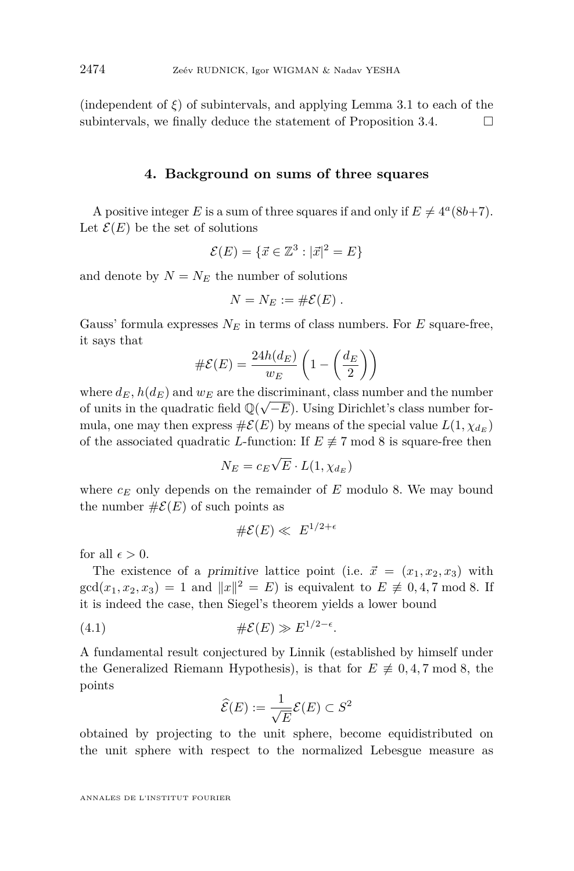(independent of  $\xi$ ) of subintervals, and applying Lemma [3.1](#page-17-0) to each of the subintervals, we finally deduce the statement of Proposition [3.4.](#page-19-1)  $\Box$ 

#### **4. Background on sums of three squares**

<span id="page-20-0"></span>A positive integer *E* is a sum of three squares if and only if  $E \neq 4^a(8b+7)$ . Let  $\mathcal{E}(E)$  be the set of solutions

$$
\mathcal{E}(E) = \{ \vec{x} \in \mathbb{Z}^3 : |\vec{x}|^2 = E \}
$$

and denote by  $N = N_E$  the number of solutions

$$
N=N_E:=\#\mathcal{E}(E).
$$

Gauss' formula expresses  $N_E$  in terms of class numbers. For *E* square-free, it says that

$$
\#\mathcal{E}(E) = \frac{24h(d_E)}{w_E} \left(1 - \left(\frac{d_E}{2}\right)\right)
$$

where  $d_E$ ,  $h(d_E)$  and  $w_E$  are the discriminant, class number and the number of units in the quadratic field  $\mathbb{Q}(\sqrt{-E})$ . Using Dirichlet's class number formula, one may then express  $\#\mathcal{E}(E)$  by means of the special value  $L(1, \chi_{d_E})$ of the associated quadratic *L*-function: If  $E \neq 7 \text{ mod } 8$  is square-free then

$$
N_E = c_E \sqrt{E} \cdot L(1, \chi_{d_E})
$$

where *c<sup>E</sup>* only depends on the remainder of *E* modulo 8. We may bound the number  $\#\mathcal{E}(E)$  of such points as

$$
\#\mathcal{E}(E) \ll E^{1/2+\epsilon}
$$

for all  $\epsilon > 0$ .

The existence of a primitive lattice point (i.e.  $\vec{x} = (x_1, x_2, x_3)$  with  $gcd(x_1, x_2, x_3) = 1$  and  $||x||^2 = E$ ) is equivalent to  $E \not\equiv 0, 4, 7 \mod 8$ . If it is indeed the case, then Siegel's theorem yields a lower bound

$$
(4.1) \t\t\t\t\t\# \mathcal{E}(E) \gg E^{1/2-\epsilon}.
$$

A fundamental result conjectured by Linnik (established by himself under the Generalized Riemann Hypothesis), is that for  $E \neq 0, 4, 7 \text{ mod } 8$ , the points

<span id="page-20-1"></span>
$$
\widehat{\mathcal{E}}(E) := \frac{1}{\sqrt{E}} \mathcal{E}(E) \subset S^2
$$

obtained by projecting to the unit sphere, become equidistributed on the unit sphere with respect to the normalized Lebesgue measure as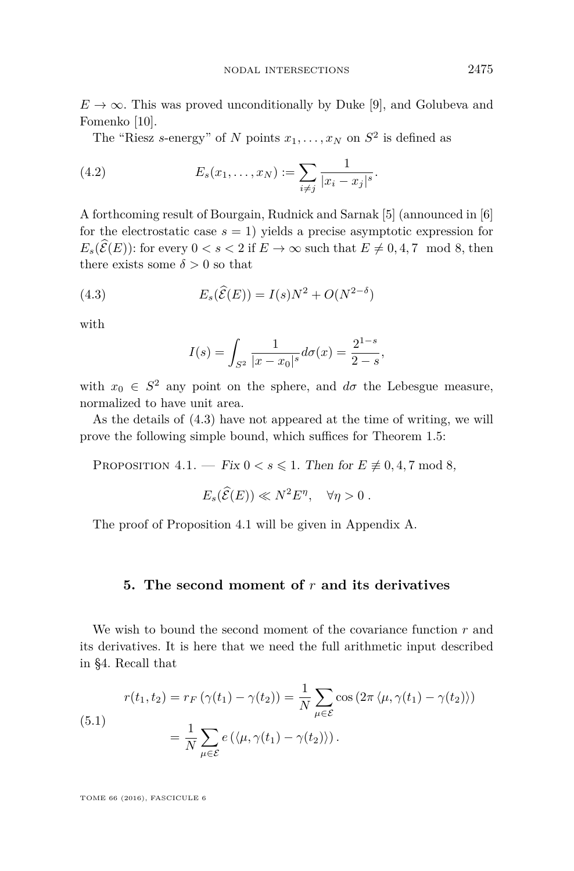$E \to \infty$ . This was proved unconditionally by Duke [\[9\]](#page-29-6), and Golubeva and Fomenko [\[10\]](#page-29-7).

The "Riesz *s*-energy" of *N* points  $x_1, \ldots, x_N$  on  $S^2$  is defined as

(4.2) 
$$
E_s(x_1,\ldots,x_N) := \sum_{i \neq j} \frac{1}{|x_i - x_j|^s}.
$$

A forthcoming result of Bourgain, Rudnick and Sarnak [\[5\]](#page-29-8) (announced in [\[6\]](#page-29-9) for the electrostatic case  $s = 1$ ) yields a precise asymptotic expression for  $E_s(\widehat{\mathcal{E}}(E))$ : for every  $0 < s < 2$  if  $E \to \infty$  such that  $E \neq 0, 4, 7 \mod 8$ , then there exists some  $\delta > 0$  so that

(4.3) 
$$
E_s(\hat{\mathcal{E}}(E)) = I(s)N^2 + O(N^{2-\delta})
$$

with

<span id="page-21-1"></span>
$$
I(s) = \int_{S^2} \frac{1}{|x - x_0|^s} d\sigma(x) = \frac{2^{1-s}}{2-s},
$$

with  $x_0 \in S^2$  any point on the sphere, and  $d\sigma$  the Lebesgue measure, normalized to have unit area.

As the details of [\(4.3\)](#page-21-1) have not appeared at the time of writing, we will prove the following simple bound, which suffices for Theorem [1.5:](#page-4-1)

<span id="page-21-2"></span>PROPOSITION  $4.1.$  — Fix  $0 < s \leq 1$ . Then for  $E \not\equiv 0, 4, 7 \mod 8$ ,

$$
E_s(\widehat{\mathcal{E}}(E)) \ll N^2 E^{\eta}, \quad \forall \eta > 0.
$$

The proof of Proposition [4.1](#page-21-2) will be given in Appendix [A.](#page-28-1)

#### <span id="page-21-0"></span>**5. The second moment of** *r* **and its derivatives**

We wish to bound the second moment of the covariance function *r* and its derivatives. It is here that we need the full arithmetic input described in [§4.](#page-20-0) Recall that

<span id="page-21-3"></span>(5.1)  

$$
r(t_1, t_2) = r_F \left( \gamma(t_1) - \gamma(t_2) \right) = \frac{1}{N} \sum_{\mu \in \mathcal{E}} \cos \left( 2\pi \langle \mu, \gamma(t_1) - \gamma(t_2) \rangle \right)
$$

$$
= \frac{1}{N} \sum_{\mu \in \mathcal{E}} e \left( \langle \mu, \gamma(t_1) - \gamma(t_2) \rangle \right).
$$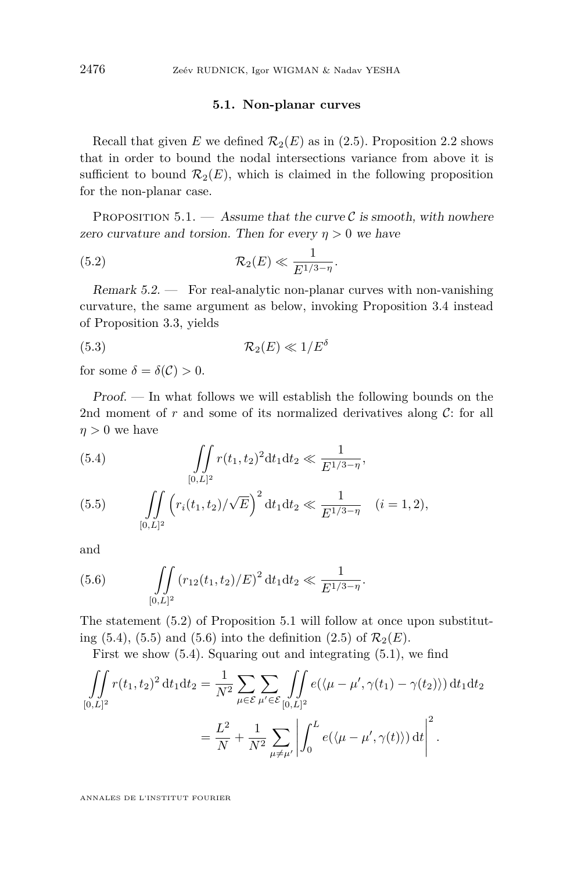#### <span id="page-22-0"></span>**5.1. Non-planar curves**

Recall that given *E* we defined  $\mathcal{R}_2(E)$  as in [\(2.5\)](#page-8-1). Proposition [2.2](#page-8-0) shows that in order to bound the nodal intersections variance from above it is sufficient to bound  $\mathcal{R}_2(E)$ , which is claimed in the following proposition for the non-planar case.

<span id="page-22-1"></span>PROPOSITION 5.1. — Assume that the curve  $\mathcal C$  is smooth, with nowhere zero curvature and torsion. Then for every  $\eta > 0$  we have

$$
(5.2) \t\t \mathcal{R}_2(E) \ll \frac{1}{E^{1/3-\eta}}.
$$

Remark 5.2. — For real-analytic non-planar curves with non-vanishing curvature, the same argument as below, invoking Proposition [3.4](#page-19-1) instead of Proposition [3.3,](#page-17-1) yields

<span id="page-22-5"></span>
$$
(5.3) \t\t \mathcal{R}_2(E) \ll 1/E^{\delta}
$$

for some  $\delta = \delta(\mathcal{C}) > 0$ .

Proof. — In what follows we will establish the following bounds on the 2nd moment of  $r$  and some of its normalized derivatives along  $\mathcal{C}$ : for all  $n > 0$  we have

<span id="page-22-2"></span>(5.4) 
$$
\iint\limits_{[0,L]^2} r(t_1,t_2)^2 dt_1 dt_2 \ll \frac{1}{E^{1/3-\eta}},
$$

<span id="page-22-3"></span>(5.5) 
$$
\iint\limits_{[0,L]^2} \left( r_i(t_1,t_2) / \sqrt{E} \right)^2 dt_1 dt_2 \ll \frac{1}{E^{1/3-\eta}} \quad (i=1,2),
$$

and

<span id="page-22-4"></span>(5.6) 
$$
\iint\limits_{[0,L]^2} (r_{12}(t_1,t_2)/E)^2 dt_1 dt_2 \ll \frac{1}{E^{1/3-\eta}}.
$$

The statement [\(5.2\)](#page-22-0) of Proposition [5.1](#page-22-1) will follow at once upon substitut-ing [\(5.4\)](#page-22-2), [\(5.5\)](#page-22-3) and [\(5.6\)](#page-22-4) into the definition [\(2.5\)](#page-8-1) of  $\mathcal{R}_2(E)$ .

First we show [\(5.4\)](#page-22-2). Squaring out and integrating [\(5.1\)](#page-21-3), we find

$$
\iint_{[0,L]^2} r(t_1, t_2)^2 dt_1 dt_2 = \frac{1}{N^2} \sum_{\mu \in \mathcal{E}} \sum_{\mu' \in \mathcal{E}} \iint_{[0,L]^2} e(\langle \mu - \mu', \gamma(t_1) - \gamma(t_2) \rangle) dt_1 dt_2
$$

$$
= \frac{L^2}{N} + \frac{1}{N^2} \sum_{\mu \neq \mu'} \left| \int_0^L e(\langle \mu - \mu', \gamma(t) \rangle) dt \right|^2.
$$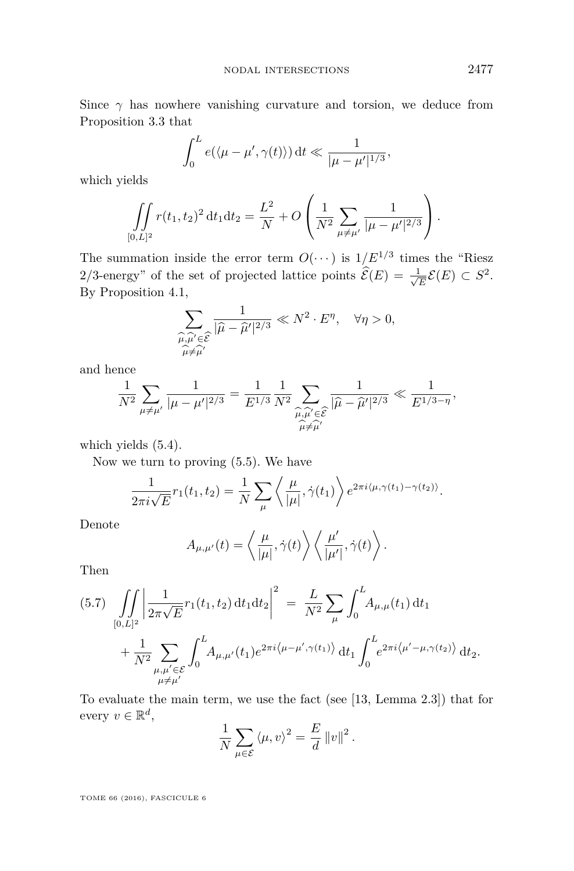Since  $\gamma$  has nowhere vanishing curvature and torsion, we deduce from Proposition [3.3](#page-17-1) that

$$
\int_0^L e(\langle \mu - \mu', \gamma(t) \rangle) dt \ll \frac{1}{|\mu - \mu'|^{1/3}},
$$

which yields

$$
\iint\limits_{[0,L]^2} r(t_1,t_2)^2 dt_1 dt_2 = \frac{L^2}{N} + O\left(\frac{1}{N^2} \sum_{\mu \neq \mu'} \frac{1}{|\mu - \mu'|^{2/3}}\right).
$$

The summation inside the error term  $O(\cdots)$  is  $1/E^{1/3}$  times the "Riesz" 2/3-energy" of the set of projected lattice points  $\mathcal{E}(E) = \frac{1}{\sqrt{2}}$  $\frac{L}{E}$  $\mathcal{E}(E) \subset S^2$ . By Proposition [4.1,](#page-21-2)

$$
\sum_{\substack{\widehat{\mu}, \widehat{\mu}' \in \widehat{\mathcal{E}} \\ \widehat{\mu} \neq \widehat{\mu}'}} \frac{1}{|\widehat{\mu} - \widehat{\mu}'|^{2/3}} \ll N^2 \cdot E^{\eta}, \quad \forall \eta > 0,
$$

and hence

$$
\frac{1}{N^2} \sum_{\mu \neq \mu'} \frac{1}{|\mu - \mu'|^{2/3}} = \frac{1}{E^{1/3}} \frac{1}{N^2} \sum_{\substack{\widehat{\mu}, \widehat{\mu'} \in \widehat{\mathcal{E}} \\ \widehat{\mu} \neq \widehat{\mu'}}} \frac{1}{|\widehat{\mu} - \widehat{\mu}'|^{2/3}} \ll \frac{1}{E^{1/3 - \eta}},
$$

which yields [\(5.4\)](#page-22-2).

Now we turn to proving [\(5.5\)](#page-22-3). We have

$$
\frac{1}{2\pi i\sqrt{E}}r_1(t_1,t_2) = \frac{1}{N}\sum_{\mu}\left\langle \frac{\mu}{|\mu|}, \dot{\gamma}(t_1)\right\rangle e^{2\pi i\langle\mu, \gamma(t_1) - \gamma(t_2)\rangle}.
$$

Denote

$$
A_{\mu,\mu'}(t) = \left\langle \frac{\mu}{|\mu|}, \dot{\gamma}(t) \right\rangle \left\langle \frac{\mu'}{|\mu'|}, \dot{\gamma}(t) \right\rangle.
$$

Then

<span id="page-23-0"></span>
$$
(5.7) \iint_{[0,L]^2} \left| \frac{1}{2\pi\sqrt{E}} r_1(t_1, t_2) dt_1 dt_2 \right|^2 = \frac{L}{N^2} \sum_{\mu} \int_0^L A_{\mu,\mu}(t_1) dt_1 + \frac{1}{N^2} \sum_{\substack{\mu,\mu' \in \mathcal{E} \\ \mu \neq \mu'}} \int_0^L A_{\mu,\mu'}(t_1) e^{2\pi i \langle \mu - \mu', \gamma(t_1) \rangle} dt_1 \int_0^L e^{2\pi i \langle \mu' - \mu, \gamma(t_2) \rangle} dt_2.
$$

To evaluate the main term, we use the fact (see [\[13,](#page-30-2) Lemma 2.3]) that for every  $v \in \mathbb{R}^d$ ,

$$
\frac{1}{N} \sum_{\mu \in \mathcal{E}} \langle \mu, v \rangle^2 = \frac{E}{d} ||v||^2.
$$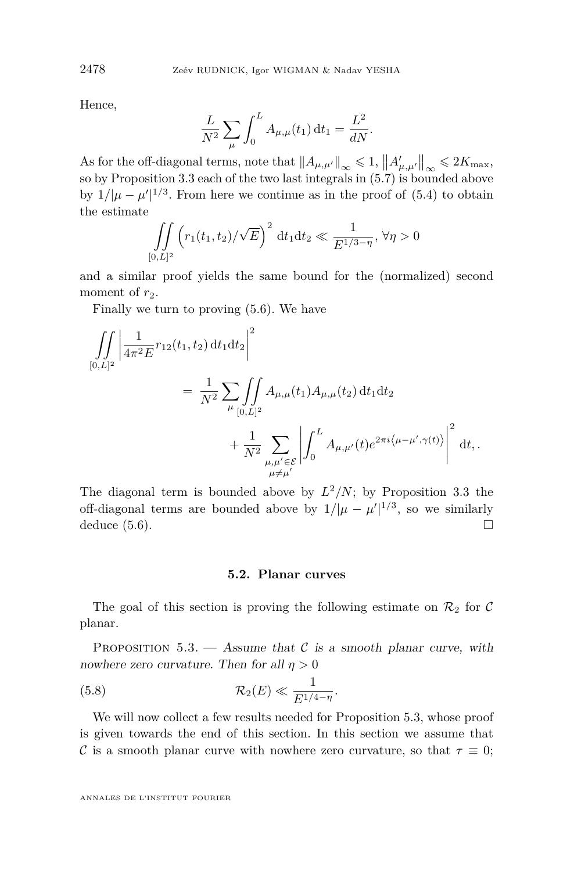Hence,

$$
\frac{L}{N^2} \sum_{\mu} \int_0^L A_{\mu,\mu}(t_1) dt_1 = \frac{L^2}{dN}.
$$

As for the off-diagonal terms, note that  $||A_{\mu,\mu'}||_{\infty} \leq 1$ ,  $||A'_{\mu,\mu'}||_{\infty} \leq 2K_{\max}$ , so by Proposition [3.3](#page-17-1) each of the two last integrals in [\(5.7\)](#page-23-0) is bounded above by  $1/|\mu - \mu'|^{1/3}$ . From here we continue as in the proof of [\(5.4\)](#page-22-2) to obtain the estimate

$$
\iint\limits_{[0,L]^2} \left( r_1(t_1,t_2) / \sqrt{E} \right)^2 dt_1 dt_2 \ll \frac{1}{E^{1/3-\eta}}, \, \forall \eta > 0
$$

and a similar proof yields the same bound for the (normalized) second moment of  $r_2$ .

Finally we turn to proving [\(5.6\)](#page-22-4). We have

$$
\iint_{[0,L]^2} \left| \frac{1}{4\pi^2 E} r_{12}(t_1, t_2) dt_1 dt_2 \right|^2
$$
  
= 
$$
\frac{1}{N^2} \sum_{\mu} \iint_{[0,L]^2} A_{\mu,\mu}(t_1) A_{\mu,\mu}(t_2) dt_1 dt_2
$$
  
+ 
$$
\frac{1}{N^2} \sum_{\substack{\mu,\mu' \in \mathcal{E} \\ \mu \neq \mu'}} \left| \int_0^L A_{\mu,\mu'}(t) e^{2\pi i \langle \mu - \mu', \gamma(t) \rangle} \right|^2 dt,
$$

The diagonal term is bounded above by  $L^2/N$ ; by Proposition [3.3](#page-17-1) the off-diagonal terms are bounded above by  $1/|\mu - \mu'|^{1/3}$ , so we similarly deduce  $(5.6)$ .

#### <span id="page-24-1"></span>**5.2. Planar curves**

The goal of this section is proving the following estimate on  $\mathcal{R}_2$  for C planar.

<span id="page-24-0"></span>PROPOSITION  $5.3.$  — Assume that C is a smooth planar curve, with nowhere zero curvature. Then for all  $\eta > 0$ 

$$
(5.8) \t\t \mathcal{R}_2(E) \ll \frac{1}{E^{1/4-\eta}}.
$$

We will now collect a few results needed for Proposition [5.3,](#page-24-0) whose proof is given towards the end of this section. In this section we assume that C is a smooth planar curve with nowhere zero curvature, so that  $\tau \equiv 0$ ;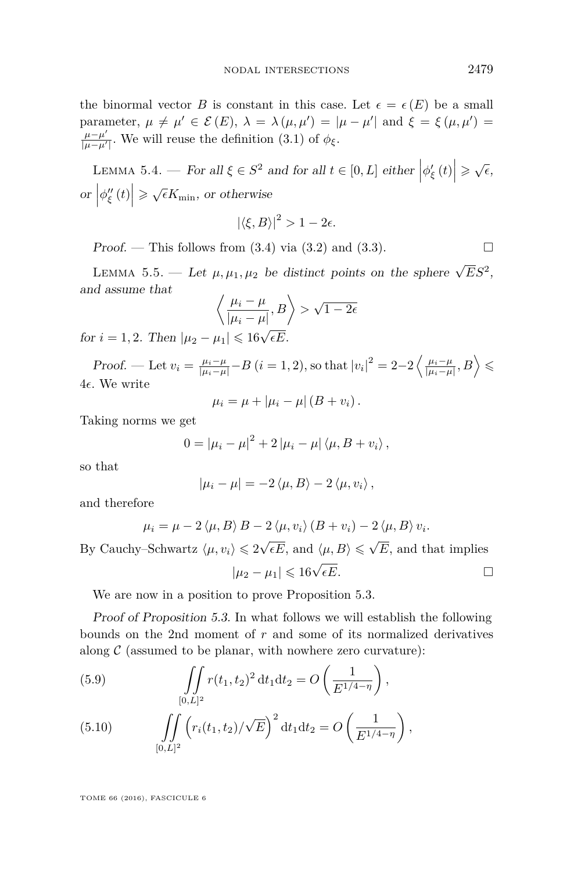the binormal vector *B* is constant in this case. Let  $\epsilon = \epsilon(E)$  be a small parameter,  $\mu \neq \mu' \in \mathcal{E}(E)$ ,  $\lambda = \lambda(\mu, \mu') = |\mu - \mu'|$  and  $\xi = \xi(\mu, \mu') =$ *µ*−*µ* 0  $\frac{\mu-\mu}{|\mu-\mu'|}$ . We will reuse the definition [\(3.1\)](#page-17-2) of  $\phi_{\xi}$ .

<span id="page-25-1"></span>LEMMA 5.4. — For all  $\xi \in S^2$  and for all  $t \in [0, L]$  either  $|\phi_{\xi}'(t)| \geq \sqrt{\epsilon}$ ,  $\left|\phi''_{\xi}(t)\right| \geqslant \sqrt{\epsilon}K_{\min},\text{ or otherwise}$ 

$$
|\langle \xi, B \rangle|^2 > 1 - 2\epsilon.
$$

Proof. — This follows from  $(3.4)$  via  $(3.2)$  and  $(3.3)$ .

<span id="page-25-2"></span>LEMMA 5.5. — Let  $\mu$ ,  $\mu_1$ ,  $\mu_2$  be distinct points on the sphere  $\sqrt{E}S^2$ , and assume that

$$
\left\langle \frac{\mu_i - \mu}{|\mu_i - \mu|}, B \right\rangle > \sqrt{1 - 2\epsilon}
$$

for  $i = 1, 2$ . Then  $|\mu_2 - \mu_1| \leq 16\sqrt{\epsilon E}$ .

Proof. — Let  $v_i = \frac{\mu_i - \mu}{|\mu_i - \mu|} - B$   $(i = 1, 2)$ , so that  $|v_i|^2 = 2 - 2 \left\langle \frac{\mu_i - \mu}{|\mu_i - \mu|}, B \right\rangle \leq$  $4\epsilon$ . We write

$$
\mu_i = \mu + |\mu_i - \mu| (B + v_i).
$$

Taking norms we get

$$
0 = |\mu_i - \mu|^2 + 2 |\mu_i - \mu| \langle \mu, B + v_i \rangle,
$$

so that

$$
|\mu_i - \mu| = -2 \langle \mu, B \rangle - 2 \langle \mu, v_i \rangle,
$$

and therefore

$$
\mu_i = \mu - 2 \langle \mu, B \rangle B - 2 \langle \mu, v_i \rangle (B + v_i) - 2 \langle \mu, B \rangle v_i.
$$

By Cauchy–Schwartz  $\langle \mu, v_i \rangle \leqslant 2\sqrt{\epsilon E}$ , and  $\langle \mu, B \rangle \leqslant \sqrt{\epsilon E}$ *E,* and that implies

$$
|\mu_2 - \mu_1| \leq 16\sqrt{\epsilon E}.\tag{}
$$

We are now in a position to prove Proposition [5.3.](#page-24-0)

Proof of Proposition [5.3.](#page-24-0) In what follows we will establish the following bounds on the 2nd moment of *r* and some of its normalized derivatives along  $\mathcal C$  (assumed to be planar, with nowhere zero curvature):

<span id="page-25-0"></span>(5.9) 
$$
\iint\limits_{[0,L]^2} r(t_1,t_2)^2 dt_1 dt_2 = O\left(\frac{1}{E^{1/4-\eta}}\right),
$$

<span id="page-25-3"></span>(5.10) 
$$
\iint\limits_{[0,L]^2} \left( r_i(t_1,t_2) / \sqrt{E} \right)^2 dt_1 dt_2 = O\left(\frac{1}{E^{1/4-\eta}}\right),
$$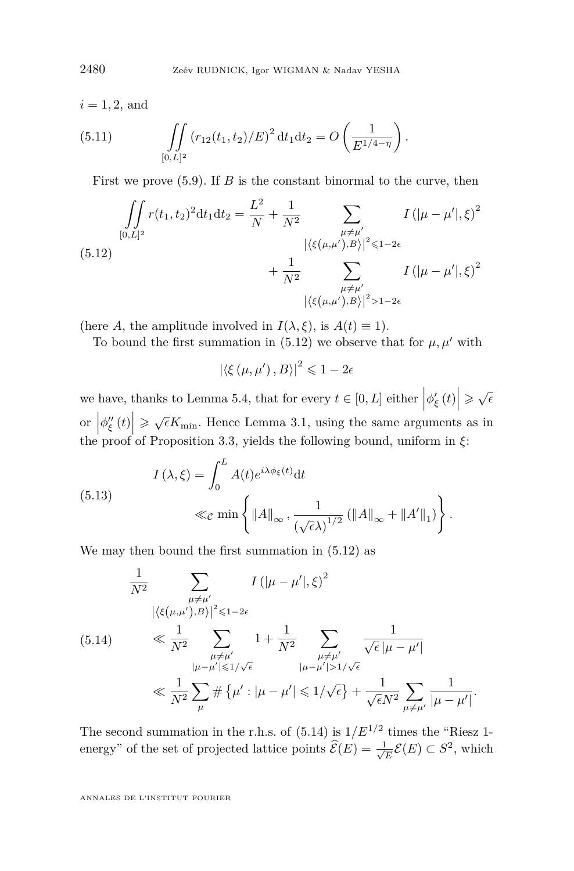$i = 1, 2$ , and

<span id="page-26-2"></span>(5.11) 
$$
\iint\limits_{[0,L]^2} (r_{12}(t_1,t_2)/E)^2 dt_1 dt_2 = O\left(\frac{1}{E^{1/4-\eta}}\right).
$$

First we prove  $(5.9)$ . If *B* is the constant binormal to the curve, then

<span id="page-26-0"></span>
$$
\iint_{[0,L]^2} r(t_1, t_2)^2 dt_1 dt_2 = \frac{L^2}{N} + \frac{1}{N^2} \sum_{\substack{\mu \neq \mu' \\ |\langle \xi(\mu, \mu'), B \rangle|^2 \le 1 - 2\epsilon}} I(|\mu - \mu'|, \xi)^2
$$
  

$$
+ \frac{1}{N^2} \sum_{\substack{\mu \neq \mu' \\ |\langle \xi(\mu, \mu'), B \rangle|^2 \ge 1 - 2\epsilon}} I(|\mu - \mu'|, \xi)^2
$$

(here *A*, the amplitude involved in  $I(\lambda, \xi)$ , is  $A(t) \equiv 1$ ).

To bound the first summation in [\(5.12\)](#page-26-0) we observe that for  $\mu, \mu'$  with

 $\left|\left\langle \xi\left(\mu,\mu'\right),B\right\rangle \right|^2\leqslant1-2\epsilon$ 

we have, thanks to Lemma [5.4,](#page-25-1) that for every  $t \in [0, L]$  either  $|\phi_{\xi}'(t)| \geq \sqrt{\epsilon}$ or  $\left|\phi''_{\xi}(t)\right| \geqslant \sqrt{\epsilon}K_{\min}$ . Hence Lemma [3.1,](#page-17-0) using the same arguments as in the proof of Proposition [3.3,](#page-17-1) yields the following bound, uniform in *ξ*:

(5.13)  

$$
I(\lambda,\xi) = \int_0^L A(t)e^{i\lambda\phi_{\xi}(t)}dt
$$

$$
\ll_{\mathcal{C}} \min\left\{ \|A\|_{\infty}, \frac{1}{(\sqrt{\epsilon}\lambda)^{1/2}} \left(\|A\|_{\infty} + \|A'\|_1\right)\right\}.
$$

We may then bound the first summation in [\(5.12\)](#page-26-0) as

<span id="page-26-1"></span>
$$
\frac{1}{N^2} \sum_{\substack{\mu \neq \mu' \\ |\langle \xi(\mu, \mu') , B \rangle |^2 \leq 1 - 2\epsilon}} I(|\mu - \mu'|, \xi)^2
$$
\n(5.14) 
$$
\ll \frac{1}{N^2} \sum_{\substack{\mu \neq \mu' \\ |\mu - \mu'| \leq 1/\sqrt{\epsilon}}} 1 + \frac{1}{N^2} \sum_{\substack{\mu \neq \mu' \\ |\mu - \mu'| > 1/\sqrt{\epsilon}}} \frac{1}{\sqrt{\epsilon} |\mu - \mu'|} \ll \frac{1}{N^2} \sum_{\mu \neq \mu'} \frac{1}{\sqrt{\epsilon} N^2 \mu^2 |\mu - \mu'|}.
$$

The second summation in the r.h.s. of  $(5.14)$  is  $1/E^{1/2}$  times the "Riesz 1energy" of the set of projected lattice points  $\widehat{\mathcal{E}}(E) = \frac{1}{\sqrt{2}}$  $\frac{E}{E}$  $\mathcal{E}(E)$  ⊂  $S^2$ , which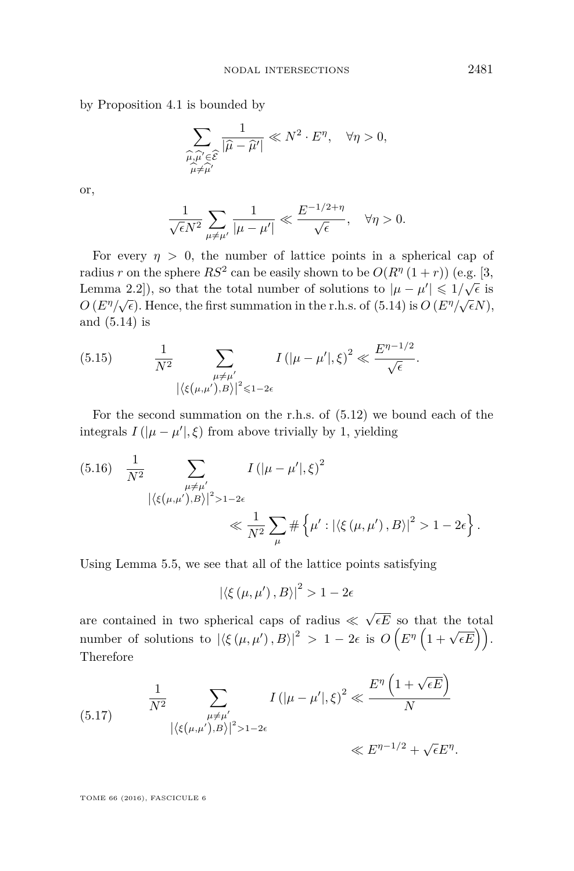by Proposition [4.1](#page-21-2) is bounded by

$$
\sum_{\substack{\widehat{\mu}, \widehat{\mu}' \in \widehat{\mathcal{E}} \\ \widehat{\mu} \neq \widehat{\mu}'}} \frac{1}{|\widehat{\mu} - \widehat{\mu}'|} \ll N^2 \cdot E^{\eta}, \quad \forall \eta > 0,
$$

or,

$$
\frac{1}{\sqrt{\epsilon}N^2} \sum_{\mu \neq \mu'} \frac{1}{|\mu - \mu'|} \ll \frac{E^{-1/2 + \eta}}{\sqrt{\epsilon}}, \quad \forall \eta > 0.
$$

For every  $\eta > 0$ , the number of lattice points in a spherical cap of radius *r* on the sphere  $RS^2$  can be easily shown to be  $O(R^{\eta}(1+r))$  (e.g. [\[3,](#page-29-0) Lemma 2.2]), so that the total number of solutions to  $|\mu - \mu'| \leq 1/\sqrt{\epsilon}$  is  $O(E^{\eta}/\sqrt{\epsilon})$ . Hence, the first summation in the r.h.s. of [\(5.14\)](#page-26-1) is  $O(E^{\eta}/\sqrt{\epsilon}N)$ , and [\(5.14\)](#page-26-1) is

<span id="page-27-0"></span>(5.15) 
$$
\frac{1}{N^2} \sum_{\substack{\mu \neq \mu' \\ |\langle \xi(\mu, \mu') , B \rangle|^2 \leq 1 - 2\epsilon}} I(|\mu - \mu'|, \xi)^2 \ll \frac{E^{\eta - 1/2}}{\sqrt{\epsilon}}.
$$

For the second summation on the r.h.s. of [\(5.12\)](#page-26-0) we bound each of the integrals  $I(|\mu - \mu'|, \xi)$  from above trivially by 1, yielding

(5.16) 
$$
\frac{1}{N^2} \sum_{\substack{\mu \neq \mu' \\ |\langle \xi(\mu, \mu'), B \rangle |^2 > 1 - 2\epsilon}} I(|\mu - \mu'|, \xi)^2
$$
  
 
$$
\ll \frac{1}{N^2} \sum_{\mu} \# \{ \mu' : |\langle \xi(\mu, \mu'), B \rangle |^2 > 1 - 2\epsilon \}.
$$

Using Lemma [5.5,](#page-25-2) we see that all of the lattice points satisfying

$$
\left| \left\langle \xi \left( \mu, \mu' \right), B \right\rangle \right|^2 > 1 - 2\epsilon
$$

are contained in two spherical caps of radius  $\ll$ √  $\epsilon E$  so that the total number of solutions to  $|\langle \xi(\mu, \mu'), B \rangle|^2 > 1 - 2\epsilon$  is  $O(E^{\eta}(1 + \sqrt{\epsilon E}))$ . Therefore

<span id="page-27-1"></span>(5.17) 
$$
\frac{1}{N^2} \sum_{\substack{\mu \neq \mu' \\ |\langle \xi(\mu, \mu'), B \rangle|^2 > 1 - 2\epsilon}} I(|\mu - \mu'|, \xi)^2 \ll \frac{E^{\eta} \left(1 + \sqrt{\epsilon E}\right)}{N}
$$

$$
\ll E^{\eta - 1/2} + \sqrt{\epsilon E^{\eta}}.
$$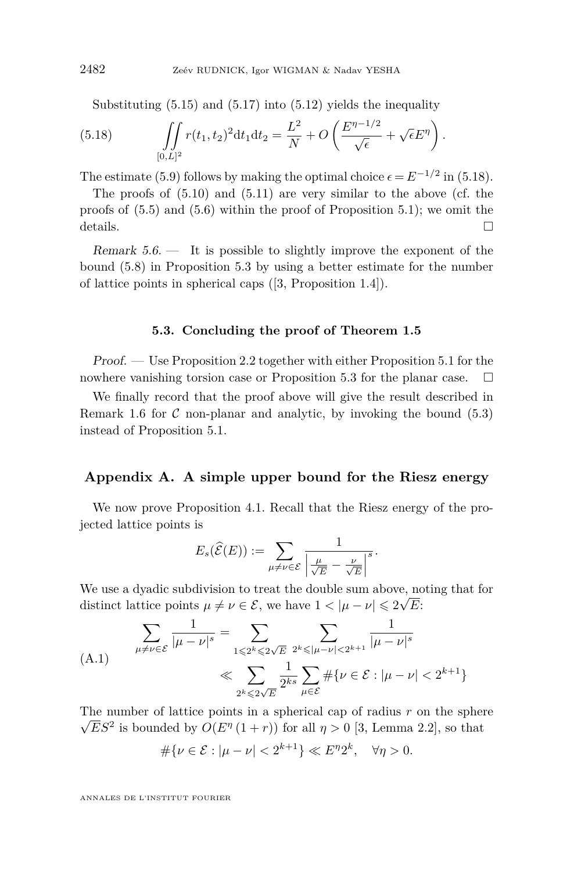<span id="page-28-2"></span>Substituting  $(5.15)$  and  $(5.17)$  into  $(5.12)$  yields the inequality

(5.18) 
$$
\iint_{[0,L]^2} r(t_1,t_2)^2 dt_1 dt_2 = \frac{L^2}{N} + O\left(\frac{E^{\eta-1/2}}{\sqrt{\epsilon}} + \sqrt{\epsilon}E^{\eta}\right).
$$

The estimate [\(5.9\)](#page-25-0) follows by making the optimal choice  $\epsilon = E^{-1/2}$  in [\(5.18\)](#page-28-2).

The proofs of [\(5.10\)](#page-25-3) and [\(5.11\)](#page-26-2) are very similar to the above (cf. the proofs of  $(5.5)$  and  $(5.6)$  within the proof of Proposition [5.1\)](#page-22-1); we omit the details.  $\Box$ 

Remark  $5.6.$  — It is possible to slightly improve the exponent of the bound [\(5.8\)](#page-24-1) in Proposition [5.3](#page-24-0) by using a better estimate for the number of lattice points in spherical caps ([\[3,](#page-29-0) Proposition 1.4]).

#### **5.3. Concluding the proof of Theorem [1.5](#page-4-1)**

<span id="page-28-0"></span>Proof. — Use Proposition [2.2](#page-8-0) together with either Proposition [5.1](#page-22-1) for the nowhere vanishing torsion case or Proposition [5.3](#page-24-0) for the planar case.  $\Box$ 

We finally record that the proof above will give the result described in Remark [1.6](#page-4-2) for  $\mathcal C$  non-planar and analytic, by invoking the bound  $(5.3)$ instead of Proposition [5.1.](#page-22-1)

#### <span id="page-28-1"></span>**Appendix A. A simple upper bound for the Riesz energy**

We now prove Proposition [4.1.](#page-21-2) Recall that the Riesz energy of the projected lattice points is

$$
E_s(\widehat{\mathcal{E}}(E)) := \sum_{\mu \neq \nu \in \mathcal{E}} \frac{1}{\left|\frac{\mu}{\sqrt{E}} - \frac{\nu}{\sqrt{E}}\right|^s}.
$$

We use a dyadic subdivision to treat the double sum above, noting that for distinct lattice points  $\mu \neq \nu \in \mathcal{E}$ , we have  $1 < |\mu - \nu| \leq 2\sqrt{E}$ :

<span id="page-28-3"></span>(A.1) 
$$
\sum_{\mu \neq \nu \in \mathcal{E}} \frac{1}{|\mu - \nu|^s} = \sum_{1 \leq 2^k \leq 2\sqrt{E}} \sum_{2^k \leq |\mu - \nu| < 2^{k+1}} \frac{1}{|\mu - \nu|^s}
$$

$$
\ll \sum_{2^k \leq 2\sqrt{E}} \frac{1}{2^{ks}} \sum_{\mu \in \mathcal{E}} \# \{ \nu \in \mathcal{E} : |\mu - \nu| < 2^{k+1} \}
$$

The number of lattice points in a spherical cap of radius *r* on the sphere  $\overline{\mathbb{R}}$  $\overline{E}S^2$  is bounded by  $O(E^{\eta}(1+r))$  for all  $\eta > 0$  [\[3,](#page-29-0) Lemma 2.2], so that

$$
\#\{\nu \in \mathcal{E} : |\mu - \nu| < 2^{k+1}\} \ll E^{\eta} 2^k, \quad \forall \eta > 0.
$$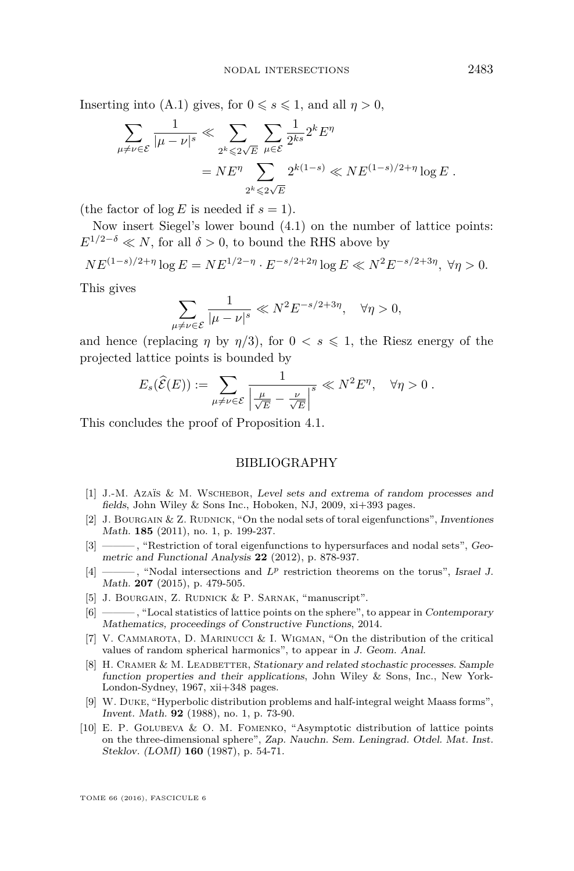Inserting into [\(A.1\)](#page-28-3) gives, for  $0 \le s \le 1$ , and all  $\eta > 0$ ,

$$
\sum_{\mu \neq \nu \in \mathcal{E}} \frac{1}{|\mu - \nu|^s} \ll \sum_{2^k \leqslant 2\sqrt{E}} \sum_{\mu \in \mathcal{E}} \frac{1}{2^{ks}} 2^k E^{\eta}
$$

$$
= N E^{\eta} \sum_{2^k \leqslant 2\sqrt{E}} 2^{k(1-s)} \ll N E^{(1-s)/2 + \eta} \log E.
$$

(the factor of  $\log E$  is needed if  $s = 1$ ).

Now insert Siegel's lower bound [\(4.1\)](#page-20-1) on the number of lattice points:  $E^{1/2-\delta} \ll N$ , for all  $\delta > 0$ , to bound the RHS above by

$$
NE^{(1-s)/2+\eta} \log E = NE^{1/2-\eta} \cdot E^{-s/2+2\eta} \log E \ll N^2 E^{-s/2+3\eta}, \ \forall \eta > 0.
$$

This gives

$$
\sum_{\mu \neq \nu \in \mathcal{E}} \frac{1}{|\mu - \nu|^s} \ll N^2 E^{-s/2 + 3\eta}, \quad \forall \eta > 0,
$$

and hence (replacing  $\eta$  by  $\eta/3$ ), for  $0 < s \leq 1$ , the Riesz energy of the projected lattice points is bounded by

$$
E_s(\widehat{\mathcal{E}}(E)) := \sum_{\mu \neq \nu \in \mathcal{E}} \frac{1}{\left| \frac{\mu}{\sqrt{E}} - \frac{\nu}{\sqrt{E}} \right|^s} \ll N^2 E^{\eta}, \quad \forall \eta > 0.
$$

This concludes the proof of Proposition [4.1.](#page-21-2)

#### BIBLIOGRAPHY

- <span id="page-29-4"></span>[1] J.-M. Azaïs & M. Wschebor, Level sets and extrema of random processes and fields, John Wiley & Sons Inc., Hoboken, NJ, 2009, xi+393 pages.
- <span id="page-29-2"></span>[2] J. BOURGAIN  $&Z$ . RUDNICK, "On the nodal sets of toral eigenfunctions", Inventiones Math. **185** (2011), no. 1, p. 199-237.
- <span id="page-29-0"></span>[3] ——— , "Restriction of toral eigenfunctions to hypersurfaces and nodal sets", Geometric and Functional Analysis **22** (2012), p. 878-937.
- <span id="page-29-1"></span>[4] ———, "Nodal intersections and  $L^p$  restriction theorems on the torus", Israel J. Math. **207** (2015), p. 479-505.
- <span id="page-29-8"></span>[5] J. BOURGAIN, Z. RUDNICK & P. SARNAK, "manuscript".
- <span id="page-29-9"></span>[6] ——— , "Local statistics of lattice points on the sphere", to appear in Contemporary Mathematics, proceedings of Constructive Functions, 2014.
- <span id="page-29-5"></span>[7] V. CAMMAROTA, D. MARINUCCI & I. WIGMAN, "On the distribution of the critical values of random spherical harmonics", to appear in J. Geom. Anal.
- <span id="page-29-3"></span>[8] H. CRAMER & M. LEADBETTER, Stationary and related stochastic processes. Sample function properties and their applications, John Wiley & Sons, Inc., New York-London-Sydney, 1967, xii+348 pages.
- <span id="page-29-6"></span>[9] W. Duke, "Hyperbolic distribution problems and half-integral weight Maass forms", Invent. Math. **92** (1988), no. 1, p. 73-90.
- <span id="page-29-7"></span>[10] E. P. Golubeva & O. M. Fomenko, "Asymptotic distribution of lattice points on the three-dimensional sphere", Zap. Nauchn. Sem. Leningrad. Otdel. Mat. Inst. Steklov. (LOMI) **160** (1987), p. 54-71.